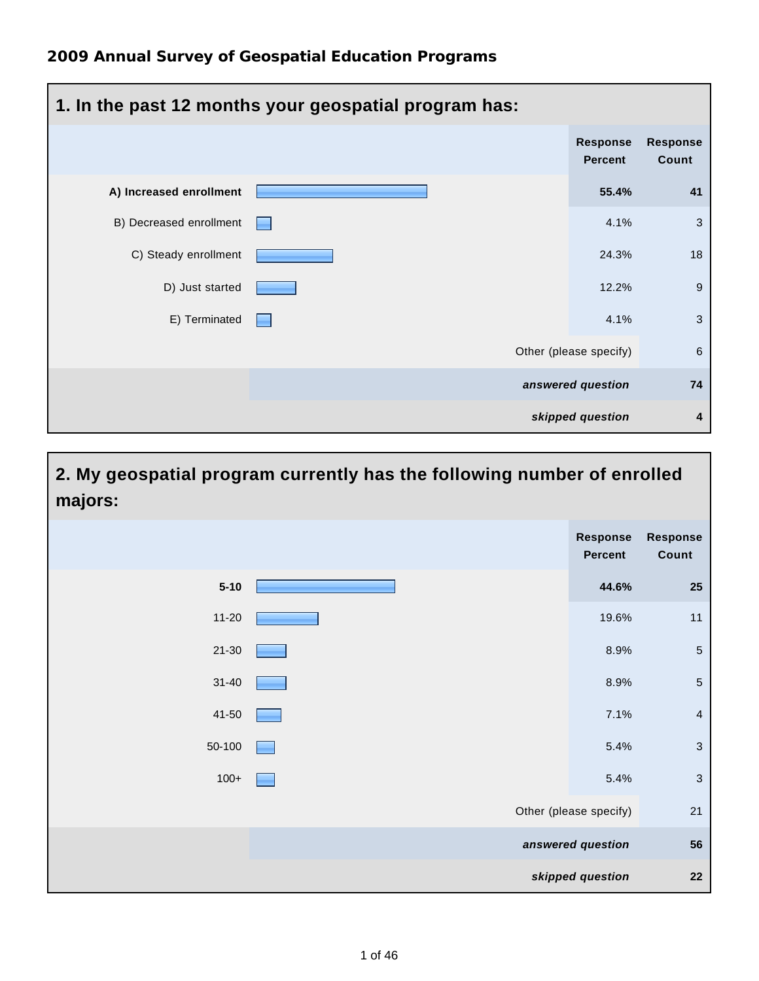| 1. In the past 12 months your geospatial program has: |  |                                   |                          |  |
|-------------------------------------------------------|--|-----------------------------------|--------------------------|--|
|                                                       |  | <b>Response</b><br><b>Percent</b> | <b>Response</b><br>Count |  |
| A) Increased enrollment                               |  | 55.4%                             | 41                       |  |
| B) Decreased enrollment                               |  | 4.1%                              | 3                        |  |
| C) Steady enrollment                                  |  | 24.3%                             | 18                       |  |
| D) Just started                                       |  | 12.2%                             | 9                        |  |
| E) Terminated                                         |  | 4.1%                              | 3                        |  |
|                                                       |  | Other (please specify)            | 6                        |  |
|                                                       |  | answered question                 | 74                       |  |
|                                                       |  | skipped question                  | 4                        |  |

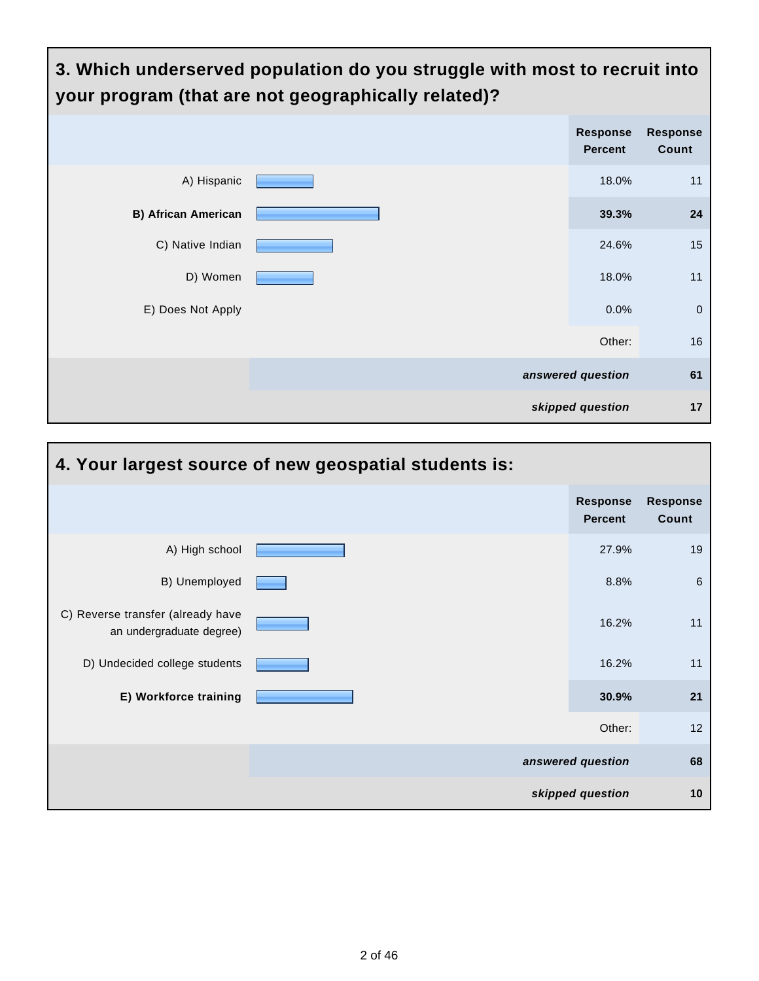

| 4. Your largest source of new geospatial students is:         |  |                                   |                          |  |  |
|---------------------------------------------------------------|--|-----------------------------------|--------------------------|--|--|
|                                                               |  | <b>Response</b><br><b>Percent</b> | <b>Response</b><br>Count |  |  |
| A) High school                                                |  | 27.9%                             | 19                       |  |  |
| B) Unemployed                                                 |  | 8.8%                              | 6                        |  |  |
| C) Reverse transfer (already have<br>an undergraduate degree) |  | 16.2%                             | 11                       |  |  |
| D) Undecided college students                                 |  | 16.2%                             | 11                       |  |  |
| E) Workforce training                                         |  | 30.9%                             | 21                       |  |  |
|                                                               |  | Other:                            | 12                       |  |  |
|                                                               |  | answered question                 | 68                       |  |  |
|                                                               |  | skipped question                  | 10                       |  |  |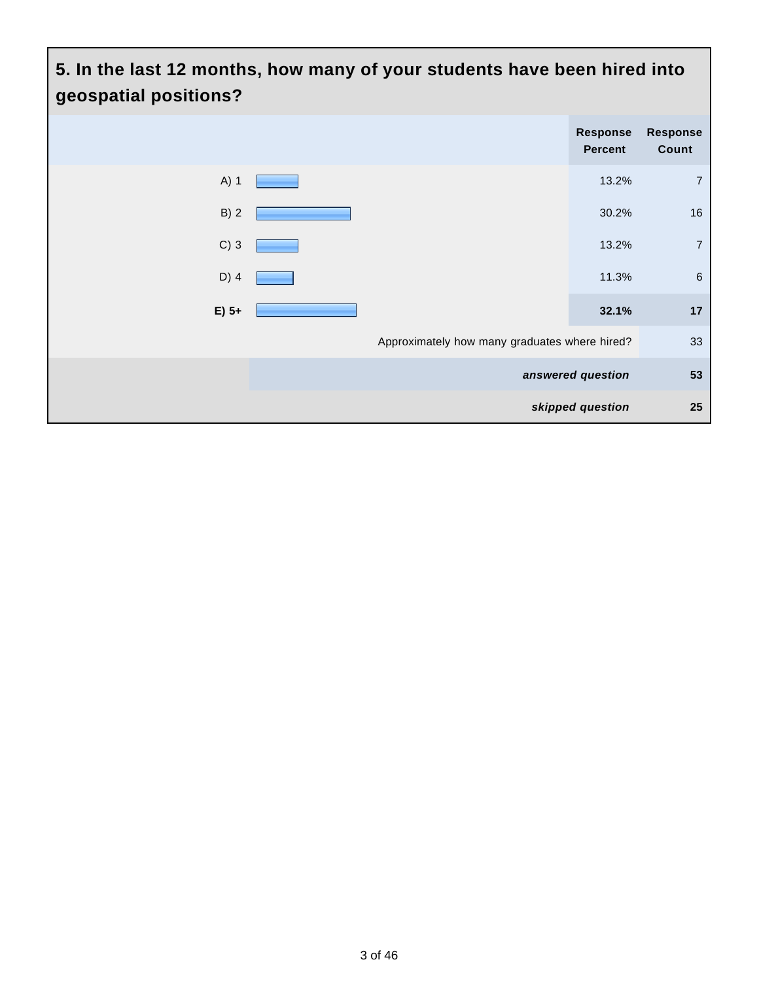# **5. In the last 12 months, how many of your students have been hired into geospatial positions? Response Percent Response Count** A) 1 **13.2%** 7 B) 2  $\sim$  30.2% 16 C) 3 **13.2%** 7 D) 4  $\sim$  11.3% 6 **E) 5+ 32.1% 17** Approximately how many graduates where hired? 33 **answered question 53 skipped question 25**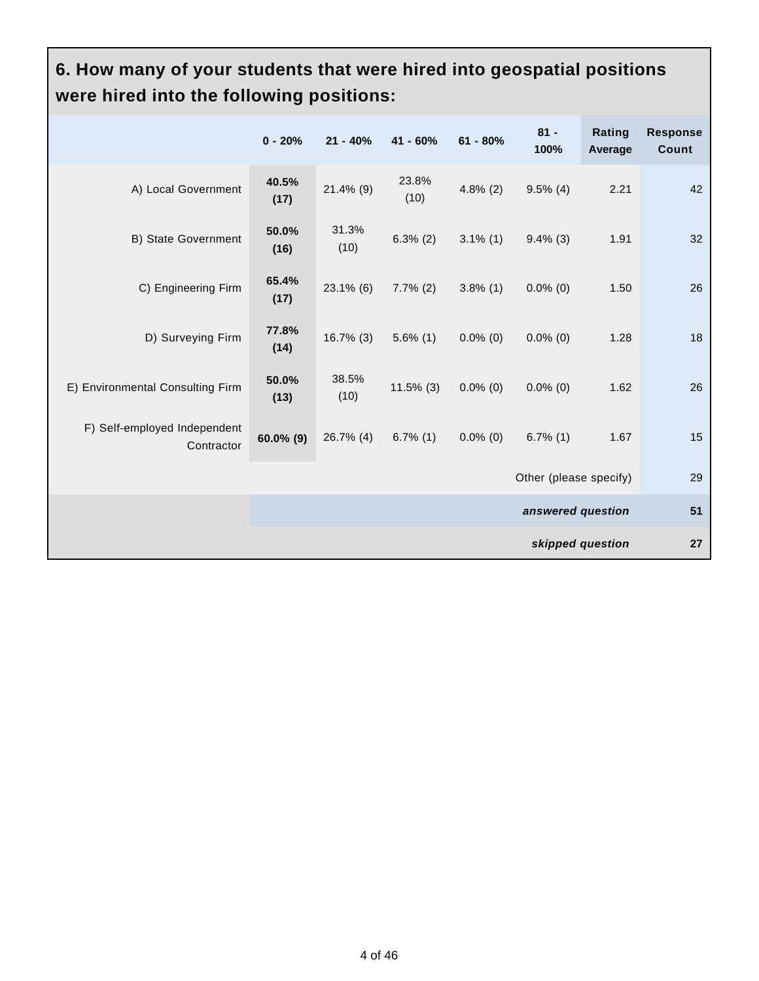#### **6. How many of your students that were hired into geospatial positions were hired into the following positions:**

|                                            | $0 - 20%$        | $21 - 40%$    | $41 - 60%$    | $61 - 80%$  | $81 -$<br>100%         | Rating<br>Average | <b>Response</b><br>Count |
|--------------------------------------------|------------------|---------------|---------------|-------------|------------------------|-------------------|--------------------------|
| A) Local Government                        | 40.5%<br>(17)    | $21.4\%$ (9)  | 23.8%<br>(10) | $4.8\%$ (2) | $9.5\%$ (4)            | 2.21              | 42                       |
| B) State Government                        | 50.0%<br>(16)    | 31.3%<br>(10) | $6.3\%$ (2)   | $3.1\%$ (1) | $9.4\%$ (3)            | 1.91              | 32                       |
| C) Engineering Firm                        | 65.4%<br>(17)    | $23.1\%$ (6)  | $7.7\%$ (2)   | $3.8\%$ (1) | $0.0\%$ (0)            | 1.50              | 26                       |
| D) Surveying Firm                          | 77.8%<br>(14)    | $16.7\%$ (3)  | $5.6\%$ (1)   | $0.0\%$ (0) | $0.0\%$ (0)            | 1.28              | 18                       |
| E) Environmental Consulting Firm           | 50.0%<br>(13)    | 38.5%<br>(10) | $11.5\%$ (3)  | $0.0\%$ (0) | $0.0\%$ (0)            | 1.62              | 26                       |
| F) Self-employed Independent<br>Contractor | 60.0% (9)        | 26.7% (4)     | $6.7\%$ (1)   | $0.0\%$ (0) | $6.7\%$ (1)            | 1.67              | 15                       |
|                                            |                  |               |               |             | Other (please specify) |                   | 29                       |
|                                            |                  |               |               |             | 51                     |                   |                          |
|                                            | skipped question |               |               |             | 27                     |                   |                          |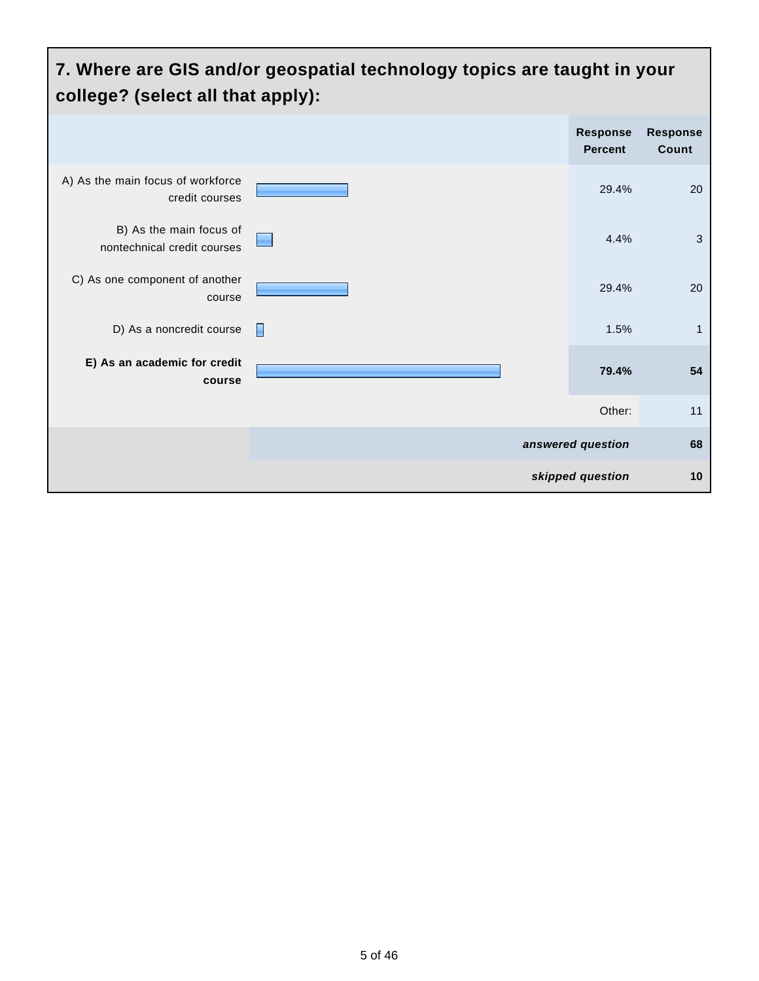#### **7. Where are GIS and/or geospatial technology topics are taught in your college? (select all that apply): Response Percent Response Count** A) As the main focus of workforce credit courses 29.4% 20 B) As the main focus of nontechnical credit courses 4.4% 3 C) As one component of another course 29.4% 20 D) As a noncredit course  $\Box$ **E) As an academic for credit course 79.4% 54** Other: 11 **answered question 68 skipped question 10**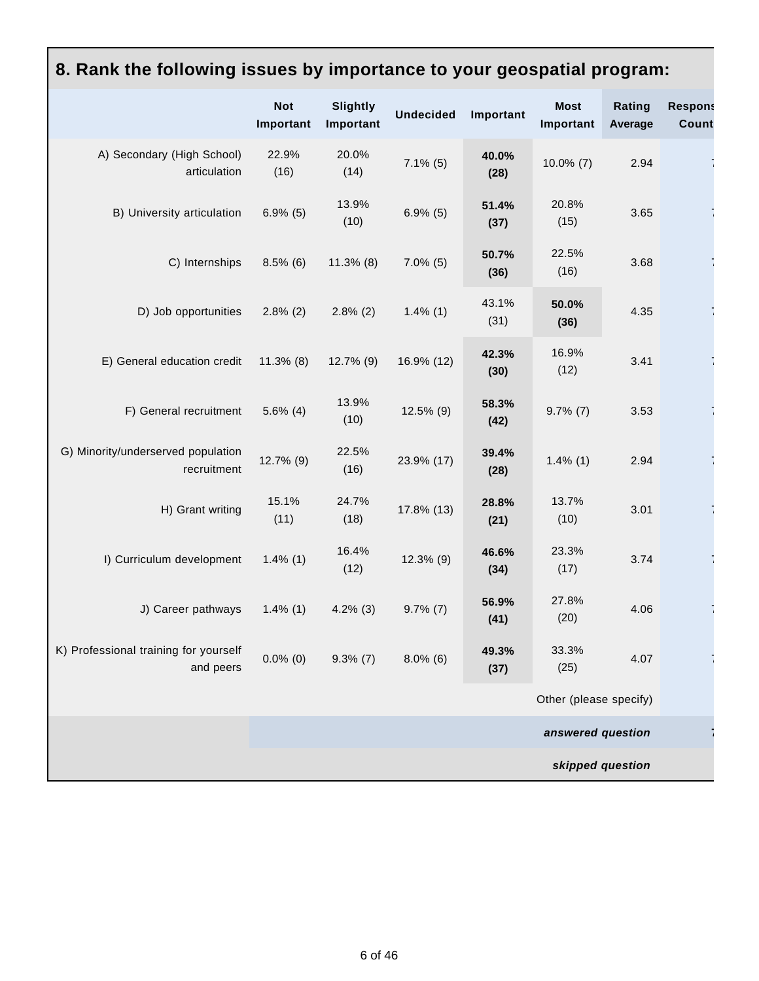| 8. Rank the following issues by importance to your geospatial program: |                         |                              |                  |               |                          |                   |                         |
|------------------------------------------------------------------------|-------------------------|------------------------------|------------------|---------------|--------------------------|-------------------|-------------------------|
|                                                                        | <b>Not</b><br>Important | <b>Slightly</b><br>Important | <b>Undecided</b> | Important     | <b>Most</b><br>Important | Rating<br>Average | <b>Respons</b><br>Count |
| A) Secondary (High School)<br>articulation                             | 22.9%<br>(16)           | 20.0%<br>(14)                | $7.1\%$ (5)      | 40.0%<br>(28) | $10.0\%$ (7)             | 2.94              |                         |
| B) University articulation                                             | $6.9\%$ (5)             | 13.9%<br>(10)                | $6.9\%$ (5)      | 51.4%<br>(37) | 20.8%<br>(15)            | 3.65              |                         |
| C) Internships                                                         | $8.5\%$ (6)             | $11.3\%$ (8)                 | $7.0\%$ (5)      | 50.7%<br>(36) | 22.5%<br>(16)            | 3.68              |                         |
| D) Job opportunities                                                   | $2.8\%$ (2)             | $2.8\%$ (2)                  | $1.4\%$ (1)      | 43.1%<br>(31) | 50.0%<br>(36)            | 4.35              |                         |
| E) General education credit                                            | $11.3\%$ (8)            | 12.7% (9)                    | 16.9% (12)       | 42.3%<br>(30) | 16.9%<br>(12)            | 3.41              |                         |
| F) General recruitment                                                 | $5.6\%$ (4)             | 13.9%<br>(10)                | 12.5% (9)        | 58.3%<br>(42) | $9.7\%$ (7)              | 3.53              |                         |
| G) Minority/underserved population<br>recruitment                      | 12.7% (9)               | 22.5%<br>(16)                | 23.9% (17)       | 39.4%<br>(28) | $1.4\%$ (1)              | 2.94              |                         |
| H) Grant writing                                                       | 15.1%<br>(11)           | 24.7%<br>(18)                | 17.8% (13)       | 28.8%<br>(21) | 13.7%<br>(10)            | 3.01              |                         |
| I) Curriculum development                                              | $1.4\%$ (1)             | 16.4%<br>(12)                | 12.3% (9)        | 46.6%<br>(34) | 23.3%<br>(17)            | 3.74              |                         |
| J) Career pathways                                                     | $1.4\%$ (1)             | $4.2\%$ (3)                  | $9.7\%$ (7)      | 56.9%<br>(41) | 27.8%<br>(20)            | 4.06              |                         |
| K) Professional training for yourself<br>and peers                     | $0.0\%$ (0)             | $9.3\%$ (7)                  | $8.0\%$ (6)      | 49.3%<br>(37) | 33.3%<br>(25)            | 4.07              |                         |
|                                                                        |                         |                              |                  |               | Other (please specify)   |                   |                         |
|                                                                        |                         |                              |                  |               | answered question        |                   |                         |
|                                                                        |                         |                              |                  |               |                          | skipped question  |                         |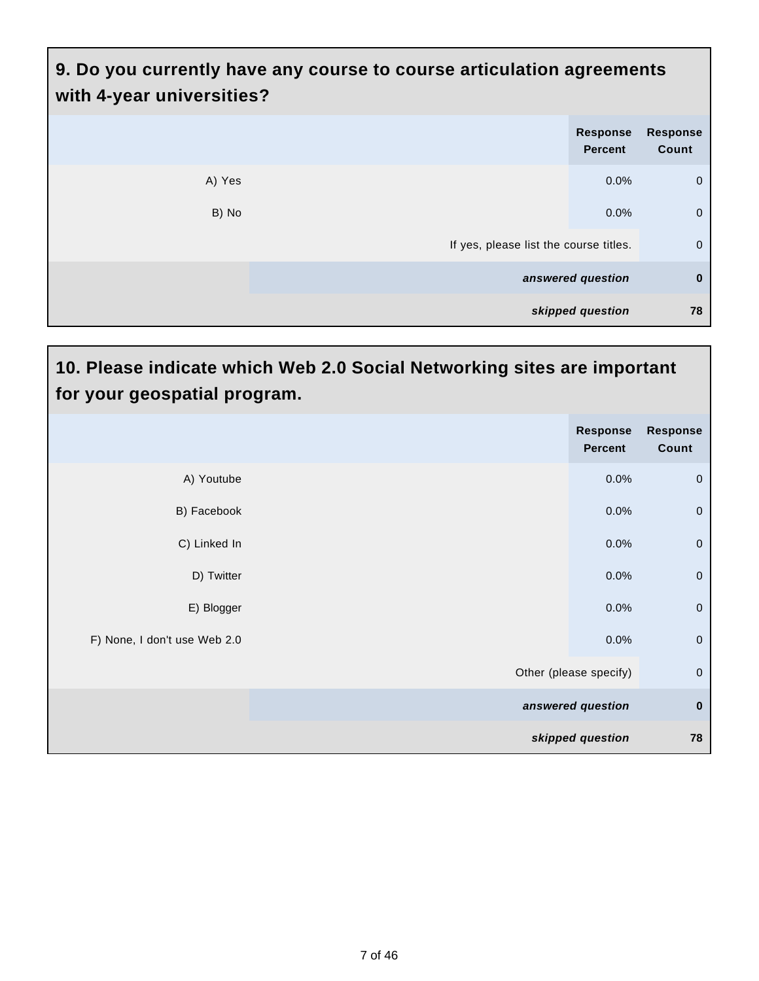# **9. Do you currently have any course to course articulation agreements with 4-year universities?**

|        | <b>Response</b><br><b>Percent</b>      | <b>Response</b><br>Count |
|--------|----------------------------------------|--------------------------|
| A) Yes | 0.0%                                   | $\overline{0}$           |
| B) No  | 0.0%                                   | $\overline{0}$           |
|        | If yes, please list the course titles. | $\overline{0}$           |
|        | answered question                      | $\mathbf 0$              |
|        | skipped question                       | 78                       |

I

| 10. Please indicate which Web 2.0 Social Networking sites are important<br>for your geospatial program. |                        |                            |                          |  |
|---------------------------------------------------------------------------------------------------------|------------------------|----------------------------|--------------------------|--|
|                                                                                                         |                        | Response<br><b>Percent</b> | <b>Response</b><br>Count |  |
| A) Youtube                                                                                              |                        | 0.0%                       | $\mathbf 0$              |  |
| B) Facebook                                                                                             |                        | 0.0%                       | $\mathbf 0$              |  |
| C) Linked In                                                                                            |                        | 0.0%                       | $\mathbf 0$              |  |
| D) Twitter                                                                                              |                        | 0.0%                       | $\mathbf 0$              |  |
| E) Blogger                                                                                              |                        | 0.0%                       | $\mathbf 0$              |  |
| F) None, I don't use Web 2.0                                                                            |                        | 0.0%                       | $\mathbf 0$              |  |
|                                                                                                         | Other (please specify) |                            | $\mathbf 0$              |  |
|                                                                                                         | answered question      |                            | $\bf{0}$                 |  |
|                                                                                                         | skipped question       |                            | 78                       |  |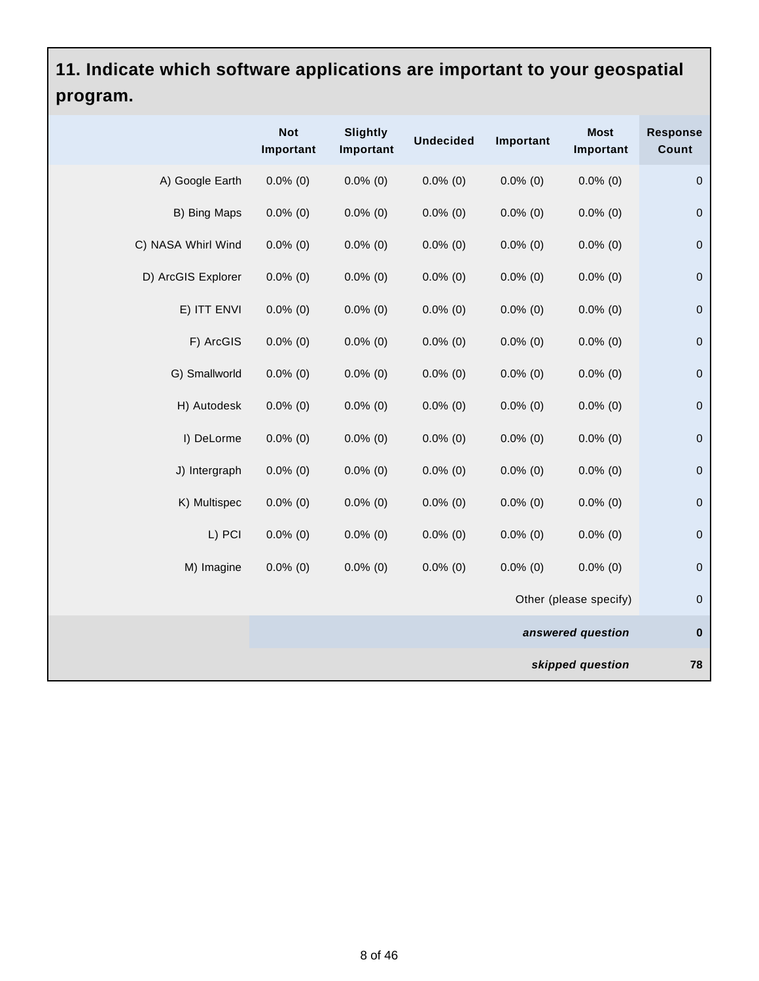# **11. Indicate which software applications are important to your geospatial program.**

|                    | <b>Not</b><br>Important | <b>Slightly</b><br>Important | <b>Undecided</b> | Important   | <b>Most</b><br>Important | <b>Response</b><br>Count |
|--------------------|-------------------------|------------------------------|------------------|-------------|--------------------------|--------------------------|
| A) Google Earth    | $0.0\%$ (0)             | $0.0\%$ (0)                  | $0.0\%$ (0)      | $0.0\%$ (0) | $0.0\%$ (0)              | $\mathbf 0$              |
| B) Bing Maps       | $0.0\%$ (0)             | $0.0\%$ (0)                  | $0.0\%$ (0)      | $0.0\%$ (0) | $0.0\%$ (0)              | $\mathbf 0$              |
| C) NASA Whirl Wind | $0.0\%$ (0)             | $0.0\%$ (0)                  | $0.0\%$ (0)      | $0.0\%$ (0) | $0.0\%$ (0)              | $\mathbf 0$              |
| D) ArcGIS Explorer | $0.0\%$ (0)             | $0.0\%$ $(0)$                | $0.0\%$ (0)      | $0.0\%$ (0) | $0.0\%$ (0)              | $\pmb{0}$                |
| E) ITT ENVI        | $0.0\%$ (0)             | $0.0\%$ (0)                  | $0.0\%$ (0)      | $0.0\%$ (0) | $0.0\%$ (0)              | $\pmb{0}$                |
| F) ArcGIS          | $0.0\%$ (0)             | $0.0\%$ (0)                  | $0.0\%$ (0)      | $0.0\%$ (0) | $0.0\%$ (0)              | $\pmb{0}$                |
| G) Smallworld      | $0.0\%$ (0)             | $0.0\%$ (0)                  | $0.0\%$ (0)      | $0.0\%$ (0) | $0.0\%$ (0)              | $\pmb{0}$                |
| H) Autodesk        | $0.0\%$ (0)             | $0.0\%$ (0)                  | $0.0\%$ (0)      | $0.0\%$ (0) | $0.0\%$ (0)              | $\mathbf 0$              |
| I) DeLorme         | $0.0\%$ (0)             | $0.0\%$ (0)                  | $0.0\%$ (0)      | $0.0\%$ (0) | $0.0\%$ (0)              | $\mathbf 0$              |
| J) Intergraph      | $0.0\%$ (0)             | $0.0\%$ (0)                  | $0.0\%$ (0)      | $0.0\%$ (0) | $0.0\%$ (0)              | $\mathbf 0$              |
| K) Multispec       | $0.0\%$ (0)             | $0.0\%$ $(0)$                | $0.0\%$ (0)      | $0.0\%$ (0) | $0.0\%$ (0)              | $\pmb{0}$                |
| L) PCI             | $0.0\%$ (0)             | $0.0\%$ (0)                  | $0.0\%$ (0)      | $0.0\%$ (0) | $0.0\%$ (0)              | $\pmb{0}$                |
| M) Imagine         | $0.0\%$ (0)             | $0.0\%$ (0)                  | $0.0\%$ (0)      | $0.0\%$ (0) | $0.0\%$ (0)              | $\pmb{0}$                |
|                    |                         |                              |                  |             | Other (please specify)   | $\pmb{0}$                |
|                    | answered question       |                              |                  |             | $\pmb{0}$                |                          |
|                    |                         |                              |                  |             | skipped question         | 78                       |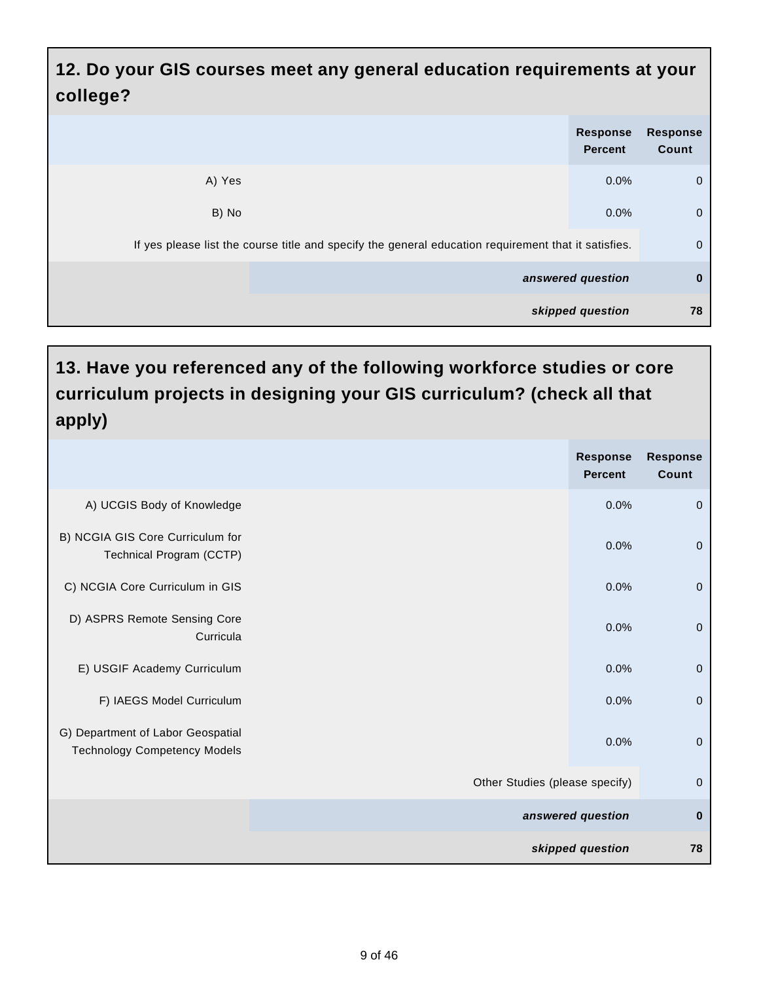#### **12. Do your GIS courses meet any general education requirements at your college?**

|                                                                                                      | <b>Response</b><br><b>Percent</b> | <b>Response</b><br>Count |  |
|------------------------------------------------------------------------------------------------------|-----------------------------------|--------------------------|--|
| A) Yes                                                                                               | $0.0\%$                           | $\mathbf 0$              |  |
| B) No                                                                                                | 0.0%                              | $\mathbf 0$              |  |
| If yes please list the course title and specify the general education requirement that it satisfies. |                                   |                          |  |
|                                                                                                      | answered question                 | $\bf{0}$                 |  |
|                                                                                                      | skipped question                  | 78                       |  |

#### **13. Have you referenced any of the following workforce studies or core curriculum projects in designing your GIS curriculum? (check all that apply)**

|                                                                          | <b>Response</b><br><b>Percent</b> | <b>Response</b><br>Count |
|--------------------------------------------------------------------------|-----------------------------------|--------------------------|
| A) UCGIS Body of Knowledge                                               | 0.0%                              | $\pmb{0}$                |
| B) NCGIA GIS Core Curriculum for<br>Technical Program (CCTP)             | 0.0%                              | $\mathbf 0$              |
| C) NCGIA Core Curriculum in GIS                                          | 0.0%                              | $\overline{0}$           |
| D) ASPRS Remote Sensing Core<br>Curricula                                | 0.0%                              | $\mathbf 0$              |
| E) USGIF Academy Curriculum                                              | 0.0%                              | $\pmb{0}$                |
| F) IAEGS Model Curriculum                                                | 0.0%                              | $\pmb{0}$                |
| G) Department of Labor Geospatial<br><b>Technology Competency Models</b> | 0.0%                              | $\mathbf 0$              |
|                                                                          | Other Studies (please specify)    | $\mathbf 0$              |
|                                                                          | answered question                 |                          |
|                                                                          | skipped question                  | 78                       |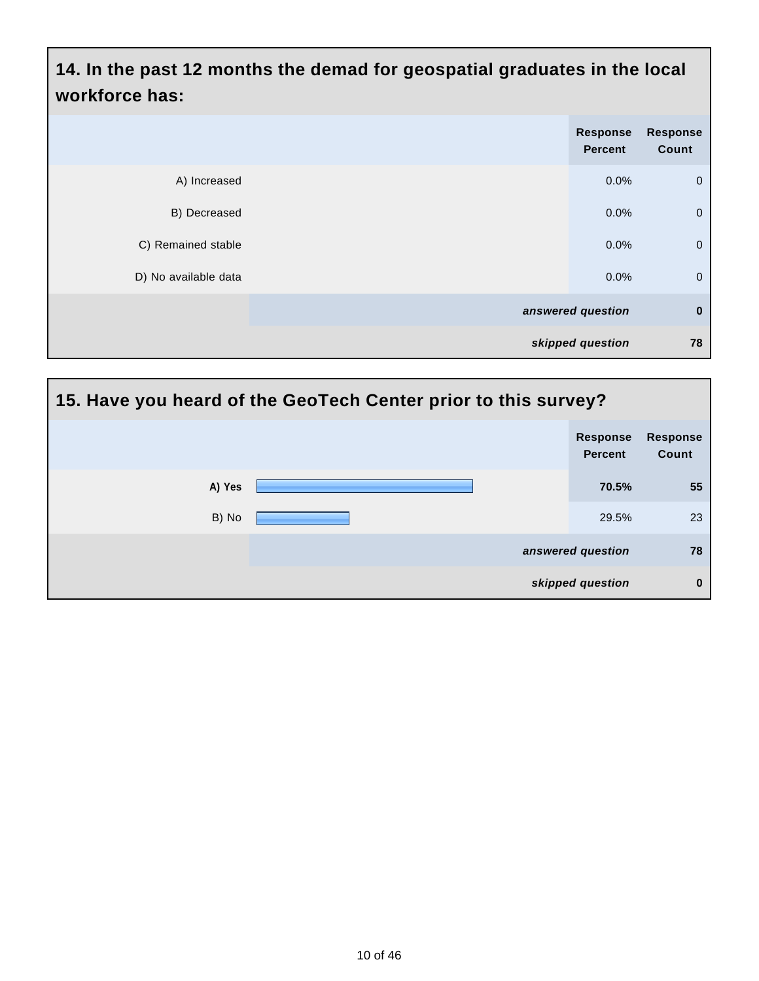**14. In the past 12 months the demad for geospatial graduates in the local workforce has:**

|                      | Response<br>Percent | <b>Response</b><br>Count |
|----------------------|---------------------|--------------------------|
| A) Increased         | 0.0%                | $\overline{0}$           |
| B) Decreased         | 0.0%                | $\overline{0}$           |
| C) Remained stable   | 0.0%                | $\overline{0}$           |
| D) No available data | 0.0%                | $\overline{0}$           |
|                      | answered question   | $\mathbf 0$              |
|                      | skipped question    | 78                       |

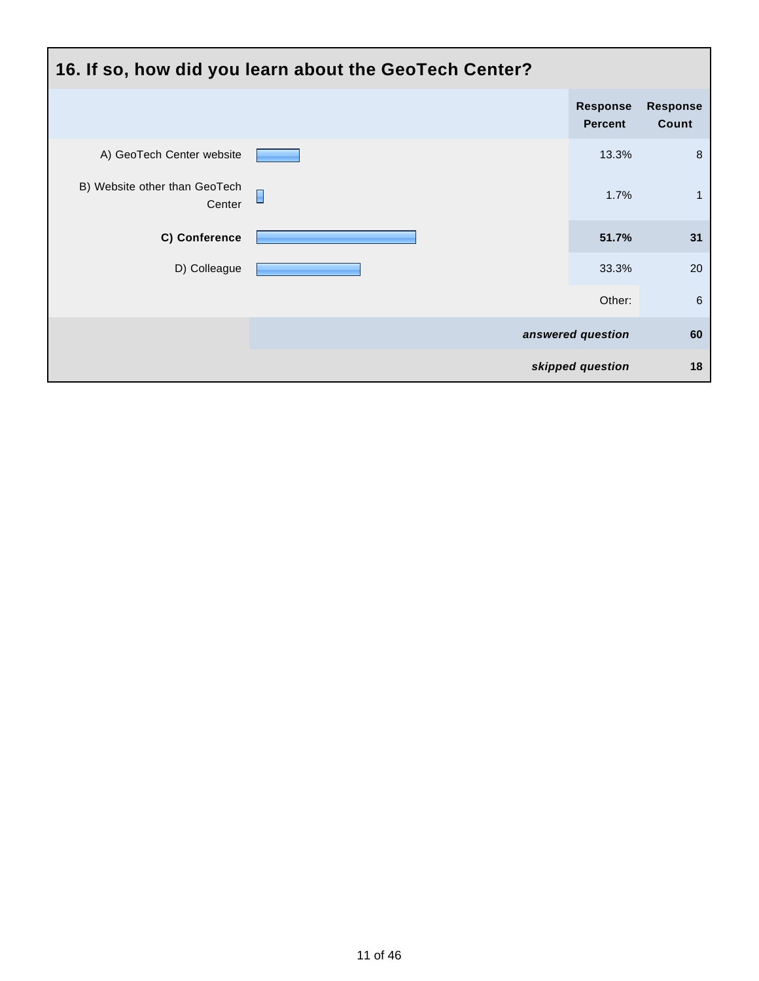| 16. If so, how did you learn about the GeoTech Center? |        |                                   |                          |  |
|--------------------------------------------------------|--------|-----------------------------------|--------------------------|--|
|                                                        |        | <b>Response</b><br><b>Percent</b> | <b>Response</b><br>Count |  |
| A) GeoTech Center website                              |        | 13.3%                             | 8                        |  |
| B) Website other than GeoTech<br>Center                | $\Box$ | 1.7%                              | $\mathbf 1$              |  |
| C) Conference                                          |        | 51.7%                             | 31                       |  |
| D) Colleague                                           |        | 33.3%                             | 20                       |  |
|                                                        |        | Other:                            | 6                        |  |
|                                                        |        | answered question                 | 60                       |  |
|                                                        |        | skipped question                  | 18                       |  |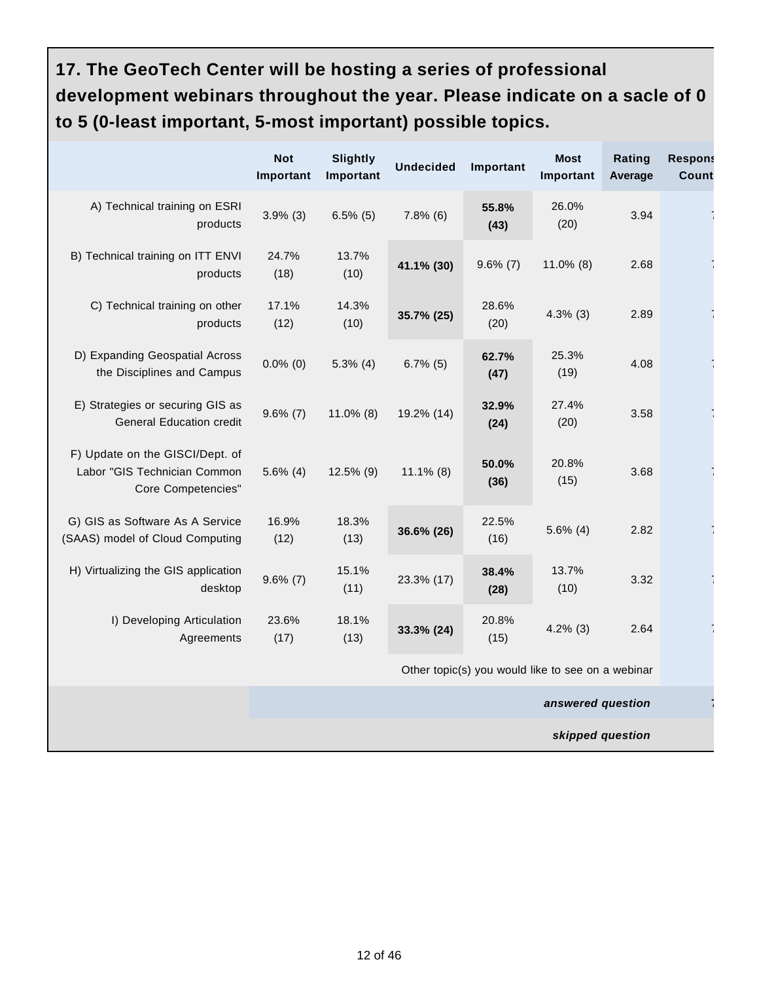# **17. The GeoTech Center will be hosting a series of professional development webinars throughout the year. Please indicate on a sacle of 0 to 5 (0-least important, 5-most important) possible topics.**

|                                                                                              | <b>Not</b><br>Important | <b>Slightly</b><br>Important | <b>Undecided</b> | Important                                         | <b>Most</b><br>Important | Rating<br>Average | <b>Respons</b><br><b>Count</b> |
|----------------------------------------------------------------------------------------------|-------------------------|------------------------------|------------------|---------------------------------------------------|--------------------------|-------------------|--------------------------------|
| A) Technical training on ESRI<br>products                                                    | $3.9\%$ (3)             | $6.5\%$ (5)                  | $7.8\%$ (6)      | 55.8%<br>(43)                                     | 26.0%<br>(20)            | 3.94              |                                |
| B) Technical training on ITT ENVI<br>products                                                | 24.7%<br>(18)           | 13.7%<br>(10)                | 41.1% (30)       | $9.6\%$ (7)                                       | $11.0\%$ (8)             | 2.68              |                                |
| C) Technical training on other<br>products                                                   | 17.1%<br>(12)           | 14.3%<br>(10)                | 35.7% (25)       | 28.6%<br>(20)                                     | $4.3\%$ (3)              | 2.89              |                                |
| D) Expanding Geospatial Across<br>the Disciplines and Campus                                 | $0.0\%$ (0)             | $5.3\%$ (4)                  | $6.7\%$ (5)      | 62.7%<br>(47)                                     | 25.3%<br>(19)            | 4.08              |                                |
| E) Strategies or securing GIS as<br><b>General Education credit</b>                          | $9.6\%$ (7)             | $11.0\%$ (8)                 | 19.2% (14)       | 32.9%<br>(24)                                     | 27.4%<br>(20)            | 3.58              |                                |
| F) Update on the GISCI/Dept. of<br>Labor "GIS Technician Common<br><b>Core Competencies"</b> | $5.6\%$ (4)             | $12.5\%$ (9)                 | $11.1\%$ (8)     | 50.0%<br>(36)                                     | 20.8%<br>(15)            | 3.68              |                                |
| G) GIS as Software As A Service<br>(SAAS) model of Cloud Computing                           | 16.9%<br>(12)           | 18.3%<br>(13)                | 36.6% (26)       | 22.5%<br>(16)                                     | $5.6\%$ (4)              | 2.82              |                                |
| H) Virtualizing the GIS application<br>desktop                                               | $9.6\%$ (7)             | 15.1%<br>(11)                | 23.3% (17)       | 38.4%<br>(28)                                     | 13.7%<br>(10)            | 3.32              |                                |
| I) Developing Articulation<br>Agreements                                                     | 23.6%<br>(17)           | 18.1%<br>(13)                | 33.3% (24)       | 20.8%<br>(15)                                     | $4.2\%$ (3)              | 2.64              |                                |
|                                                                                              |                         |                              |                  | Other topic(s) you would like to see on a webinar |                          |                   |                                |
| answered question                                                                            |                         |                              |                  |                                                   |                          |                   |                                |
|                                                                                              |                         |                              |                  |                                                   | skipped question         |                   |                                |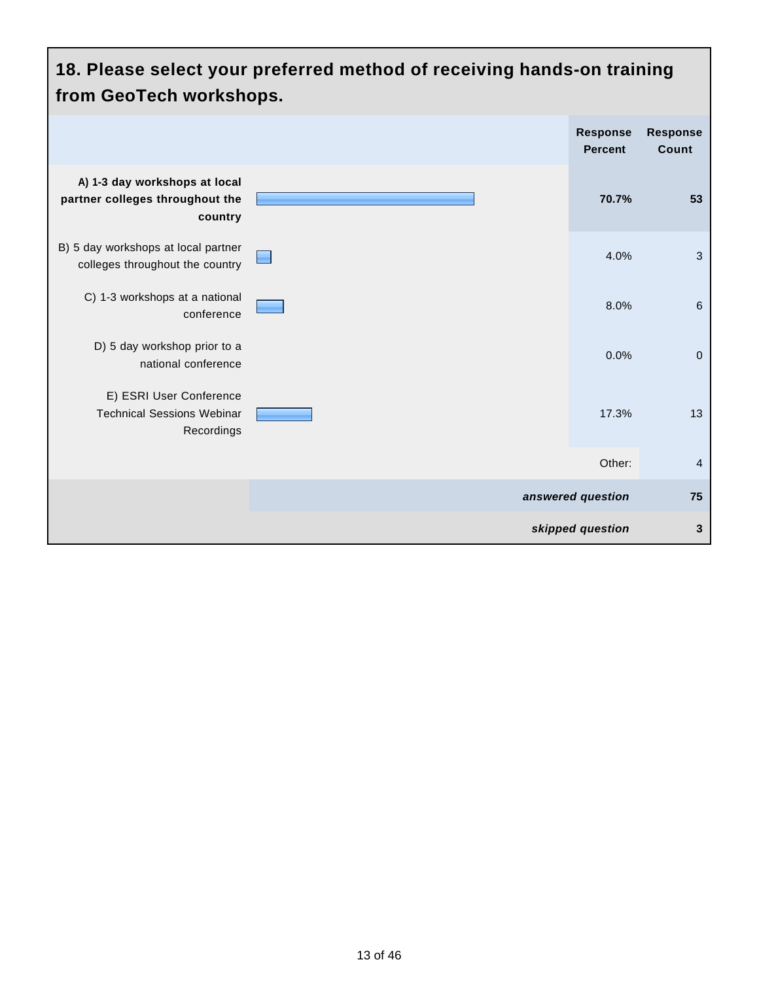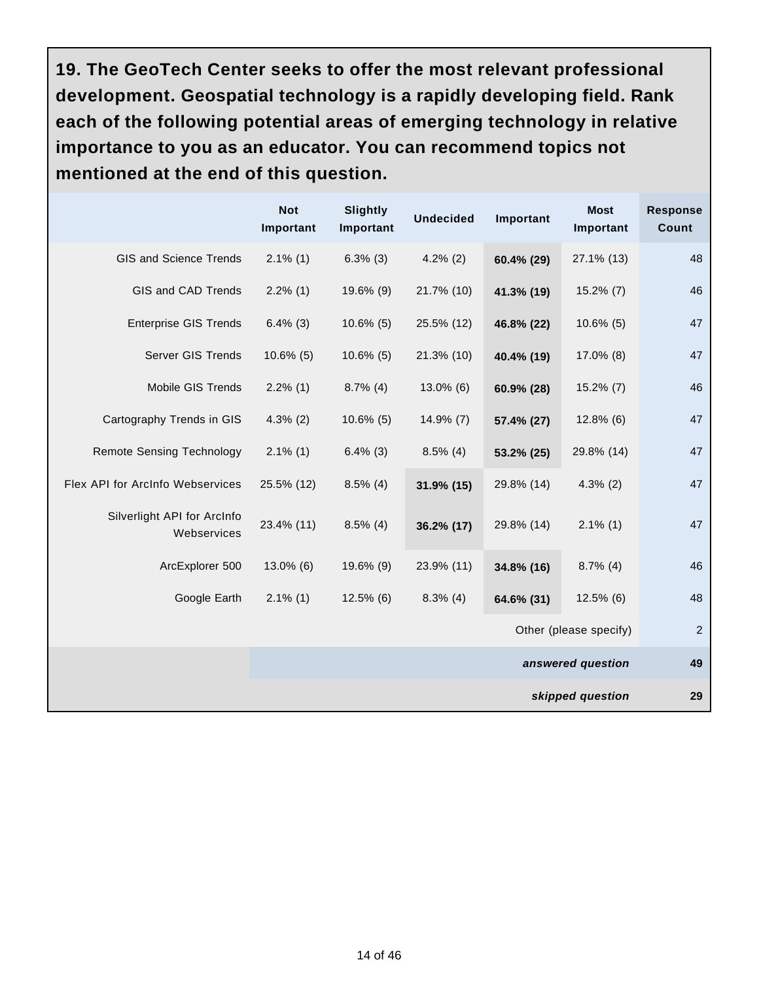**19. The GeoTech Center seeks to offer the most relevant professional development. Geospatial technology is a rapidly developing field. Rank each of the following potential areas of emerging technology in relative importance to you as an educator. You can recommend topics not mentioned at the end of this question.**

|                                            | <b>Not</b><br>Important | <b>Slightly</b><br>Important | <b>Undecided</b> | Important  | <b>Most</b><br>Important | <b>Response</b><br><b>Count</b> |
|--------------------------------------------|-------------------------|------------------------------|------------------|------------|--------------------------|---------------------------------|
| GIS and Science Trends                     | $2.1\%$ (1)             | $6.3\%$ (3)                  | $4.2\%$ (2)      | 60.4% (29) | 27.1% (13)               | 48                              |
| GIS and CAD Trends                         | $2.2\%$ (1)             | 19.6% (9)                    | 21.7% (10)       | 41.3% (19) | $15.2\%$ (7)             | 46                              |
| <b>Enterprise GIS Trends</b>               | $6.4\%$ (3)             | $10.6\%$ (5)                 | 25.5% (12)       | 46.8% (22) | $10.6\%$ (5)             | 47                              |
| Server GIS Trends                          | $10.6\%$ (5)            | $10.6\%$ (5)                 | 21.3% (10)       | 40.4% (19) | 17.0% (8)                | 47                              |
| Mobile GIS Trends                          | $2.2\%$ (1)             | $8.7\%$ (4)                  | 13.0% (6)        | 60.9% (28) | $15.2\%$ (7)             | 46                              |
| Cartography Trends in GIS                  | $4.3\%$ (2)             | $10.6\%$ (5)                 | $14.9\%$ (7)     | 57.4% (27) | $12.8\%$ (6)             | 47                              |
| <b>Remote Sensing Technology</b>           | $2.1\%$ (1)             | $6.4\%$ (3)                  | $8.5\%$ (4)      | 53.2% (25) | 29.8% (14)               | 47                              |
| Flex API for ArcInfo Webservices           | 25.5% (12)              | $8.5\%$ (4)                  | 31.9% (15)       | 29.8% (14) | $4.3\%$ (2)              | 47                              |
| Silverlight API for ArcInfo<br>Webservices | 23.4% (11)              | $8.5\%$ (4)                  | 36.2% (17)       | 29.8% (14) | $2.1\%$ (1)              | 47                              |
| ArcExplorer 500                            | $13.0\%$ (6)            | 19.6% (9)                    | 23.9% (11)       | 34.8% (16) | $8.7\%$ (4)              | 46                              |
| Google Earth                               | $2.1\%$ (1)             | $12.5\%$ (6)                 | $8.3\%$ (4)      | 64.6% (31) | $12.5\%$ (6)             | 48                              |
|                                            |                         |                              |                  |            | Other (please specify)   | 2                               |
|                                            | answered question       |                              |                  |            |                          | 49                              |
|                                            |                         |                              |                  |            | skipped question         | 29                              |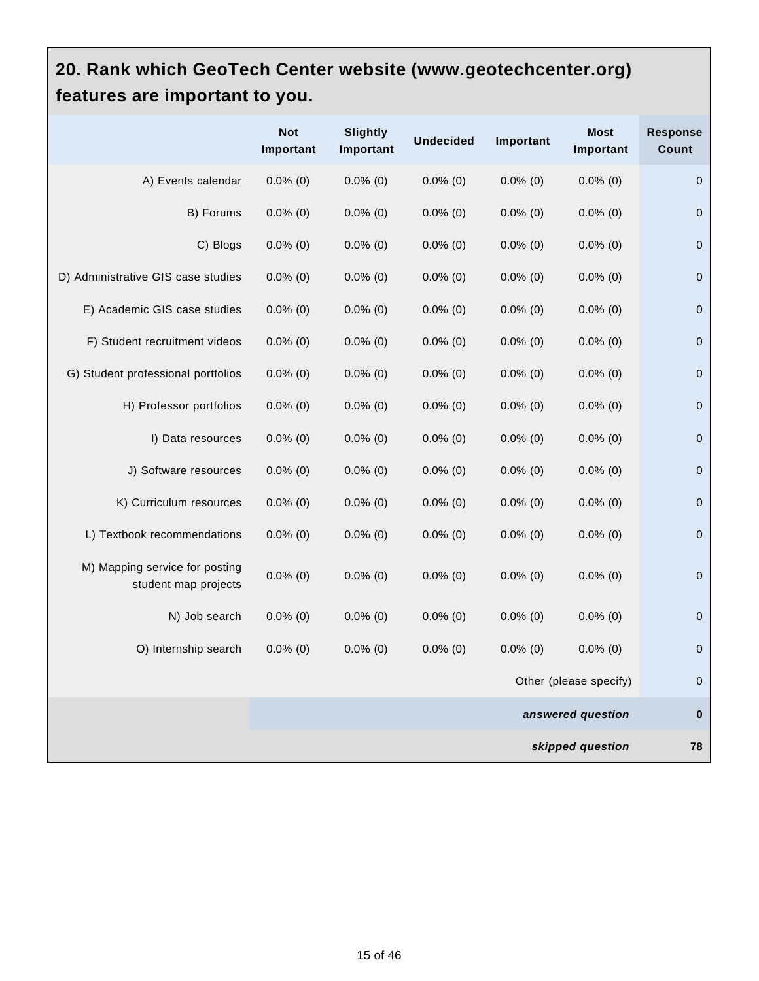#### **20. Rank which GeoTech Center website (www.geotechcenter.org) features are important to you.**

|                                                        | <b>Not</b><br>Important | <b>Slightly</b><br>Important | <b>Undecided</b> | Important   | <b>Most</b><br>Important | <b>Response</b><br>Count |
|--------------------------------------------------------|-------------------------|------------------------------|------------------|-------------|--------------------------|--------------------------|
| A) Events calendar                                     | $0.0\%$ (0)             | $0.0\%$ (0)                  | $0.0\%$ (0)      | $0.0\%$ (0) | $0.0\%$ (0)              | $\mathbf 0$              |
| B) Forums                                              | $0.0\%$ (0)             | $0.0\%$ (0)                  | $0.0\%$ (0)      | $0.0\%$ (0) | $0.0\%$ (0)              | $\pmb{0}$                |
| C) Blogs                                               | $0.0\%$ (0)             | $0.0\%$ (0)                  | $0.0\%$ (0)      | $0.0\%$ (0) | $0.0\%$ (0)              | $\mathbf 0$              |
| D) Administrative GIS case studies                     | $0.0\%$ (0)             | $0.0\%$ (0)                  | $0.0\%$ (0)      | $0.0\%$ (0) | $0.0\%$ (0)              | $\mathbf 0$              |
| E) Academic GIS case studies                           | $0.0\%$ (0)             | $0.0\%$ (0)                  | $0.0\%$ (0)      | $0.0\%$ (0) | $0.0\%$ (0)              | $\mathbf 0$              |
| F) Student recruitment videos                          | $0.0\%$ (0)             | $0.0\%$ (0)                  | $0.0\%$ (0)      | $0.0\%$ (0) | $0.0\%$ (0)              | $\mathsf 0$              |
| G) Student professional portfolios                     | $0.0\%$ (0)             | $0.0\%$ (0)                  | $0.0\%$ (0)      | $0.0\%$ (0) | $0.0\%$ (0)              | $\mathbf 0$              |
| H) Professor portfolios                                | $0.0\%$ (0)             | $0.0\%$ (0)                  | $0.0\%$ (0)      | $0.0\%$ (0) | $0.0\%$ (0)              | $\pmb{0}$                |
| I) Data resources                                      | $0.0\%$ (0)             | $0.0\%$ (0)                  | $0.0\%$ (0)      | $0.0\%$ (0) | $0.0\%$ (0)              | $\mathbf 0$              |
| J) Software resources                                  | $0.0\%$ (0)             | $0.0\%$ (0)                  | $0.0\%$ (0)      | $0.0\%$ (0) | $0.0\%$ (0)              | $\pmb{0}$                |
| K) Curriculum resources                                | $0.0\%$ (0)             | $0.0\%$ (0)                  | $0.0\%$ (0)      | $0.0\%$ (0) | $0.0\%$ (0)              | $\mathbf 0$              |
| L) Textbook recommendations                            | $0.0\%$ (0)             | $0.0\%$ (0)                  | $0.0\%$ (0)      | $0.0\%$ (0) | $0.0\%$ (0)              | 0                        |
| M) Mapping service for posting<br>student map projects | $0.0\%$ (0)             | $0.0\%$ (0)                  | $0.0\%$ (0)      | $0.0\%$ (0) | $0.0\%$ (0)              | $\pmb{0}$                |
| N) Job search                                          | $0.0\%$ (0)             | $0.0\%$ (0)                  | $0.0\%$ (0)      | $0.0\%$ (0) | $0.0\%$ (0)              | $\mathbf 0$              |
| O) Internship search                                   | $0.0\%$ (0)             | $0.0\%$ (0)                  | $0.0\%$ (0)      | $0.0\%$ (0) | $0.0\%$ (0)              | $\mathbf 0$              |
|                                                        |                         |                              |                  |             | Other (please specify)   | 0                        |
|                                                        |                         |                              |                  |             | answered question        | $\bf{0}$                 |
|                                                        |                         |                              |                  |             | skipped question         | 78                       |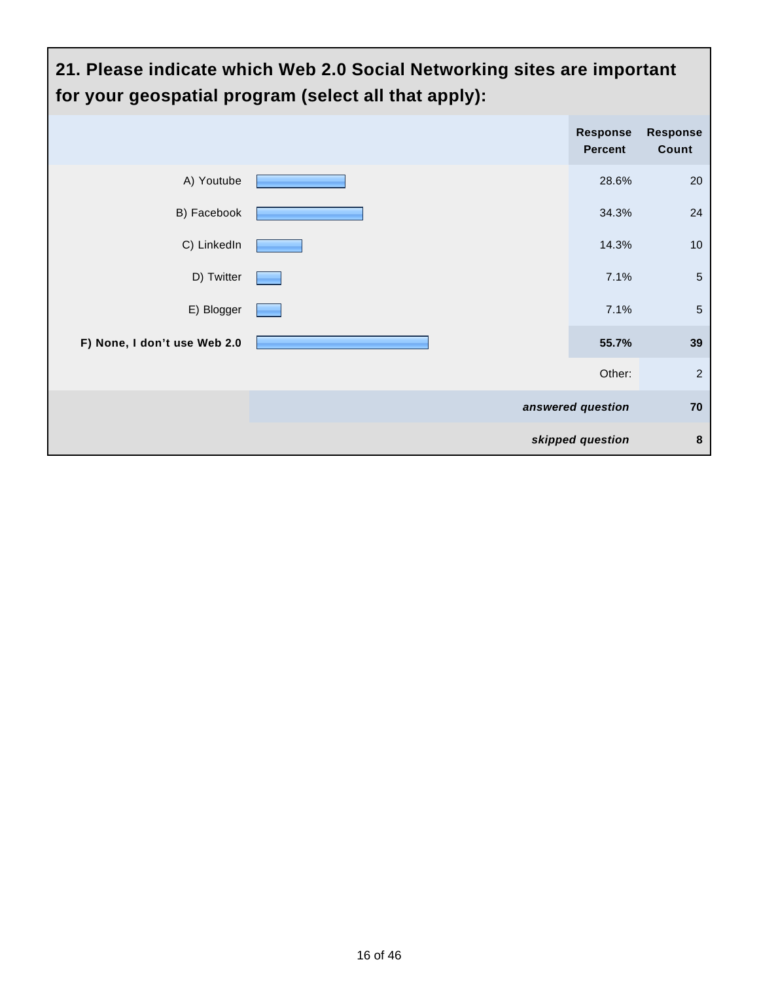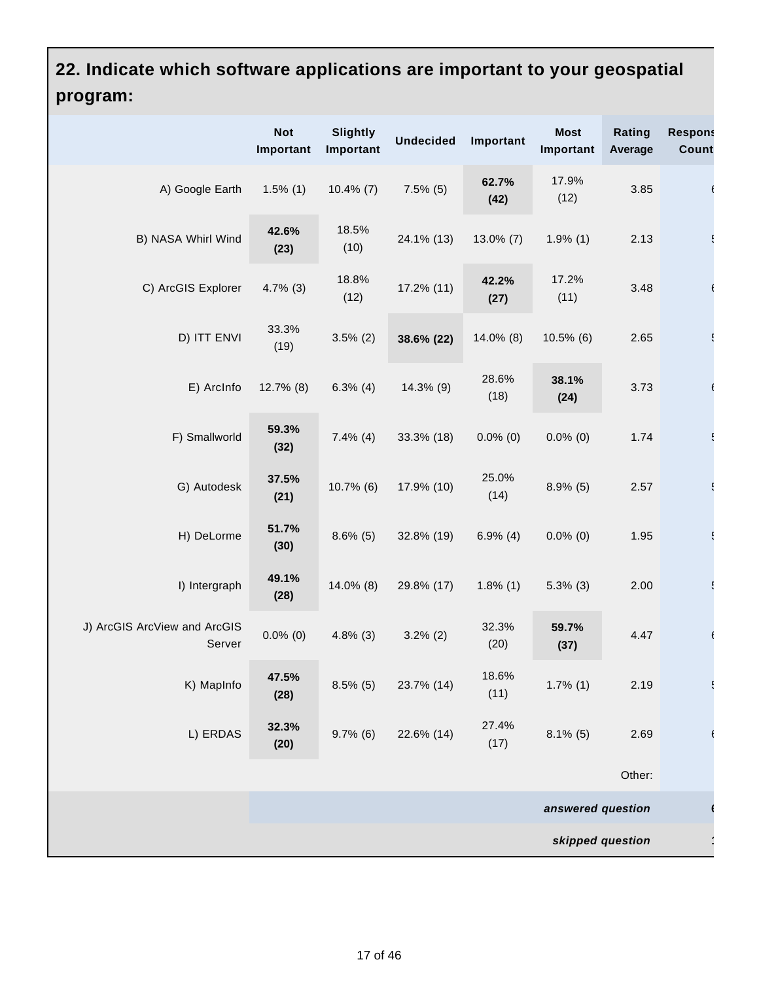# **22. Indicate which software applications are important to your geospatial program:**

|                                        | <b>Not</b><br>Important | <b>Slightly</b><br>Important | <b>Undecided</b> | Important     | <b>Most</b><br>Important | Rating<br>Average | <b>Respons</b><br><b>Count</b> |
|----------------------------------------|-------------------------|------------------------------|------------------|---------------|--------------------------|-------------------|--------------------------------|
| A) Google Earth                        | $1.5\%$ (1)             | $10.4\%$ (7)                 | $7.5\%$ (5)      | 62.7%<br>(42) | 17.9%<br>(12)            | 3.85              |                                |
| B) NASA Whirl Wind                     | 42.6%<br>(23)           | 18.5%<br>(10)                | 24.1% (13)       | $13.0\%$ (7)  | $1.9\%$ (1)              | 2.13              |                                |
| C) ArcGIS Explorer                     | $4.7\%$ (3)             | 18.8%<br>(12)                | 17.2% (11)       | 42.2%<br>(27) | 17.2%<br>(11)            | 3.48              |                                |
| D) ITT ENVI                            | 33.3%<br>(19)           | $3.5\%$ (2)                  | 38.6% (22)       | 14.0% (8)     | $10.5\%$ (6)             | 2.65              |                                |
| E) ArcInfo                             | $12.7\%$ (8)            | $6.3\%$ (4)                  | 14.3% (9)        | 28.6%<br>(18) | 38.1%<br>(24)            | 3.73              |                                |
| F) Smallworld                          | 59.3%<br>(32)           | $7.4\%$ (4)                  | 33.3% (18)       | $0.0\%$ (0)   | $0.0\%$ (0)              | 1.74              |                                |
| G) Autodesk                            | 37.5%<br>(21)           | $10.7\%$ (6)                 | 17.9% (10)       | 25.0%<br>(14) | $8.9\%$ (5)              | 2.57              |                                |
| H) DeLorme                             | 51.7%<br>(30)           | $8.6\%$ (5)                  | 32.8% (19)       | $6.9\%$ (4)   | $0.0\%$ (0)              | 1.95              |                                |
| I) Intergraph                          | 49.1%<br>(28)           | 14.0% (8)                    | 29.8% (17)       | $1.8\%$ (1)   | $5.3\%$ (3)              | 2.00              |                                |
| J) ArcGIS ArcView and ArcGIS<br>Server | $0.0\%$ (0)             | $4.8\%$ (3)                  | $3.2\%$ (2)      | 32.3%<br>(20) | 59.7%<br>(37)            | 4.47              |                                |
| K) MapInfo                             | 47.5%<br>(28)           | $8.5\%$ (5)                  | 23.7% (14)       | 18.6%<br>(11) | $1.7\%$ (1)              | 2.19              |                                |
| L) ERDAS                               | 32.3%<br>(20)           | $9.7\%$ (6)                  | 22.6% (14)       | 27.4%<br>(17) | $8.1\%$ (5)              | 2.69              |                                |
|                                        |                         |                              |                  |               |                          | Other:            |                                |
|                                        |                         |                              |                  |               | answered question        |                   |                                |
| skipped question                       |                         |                              |                  |               |                          |                   |                                |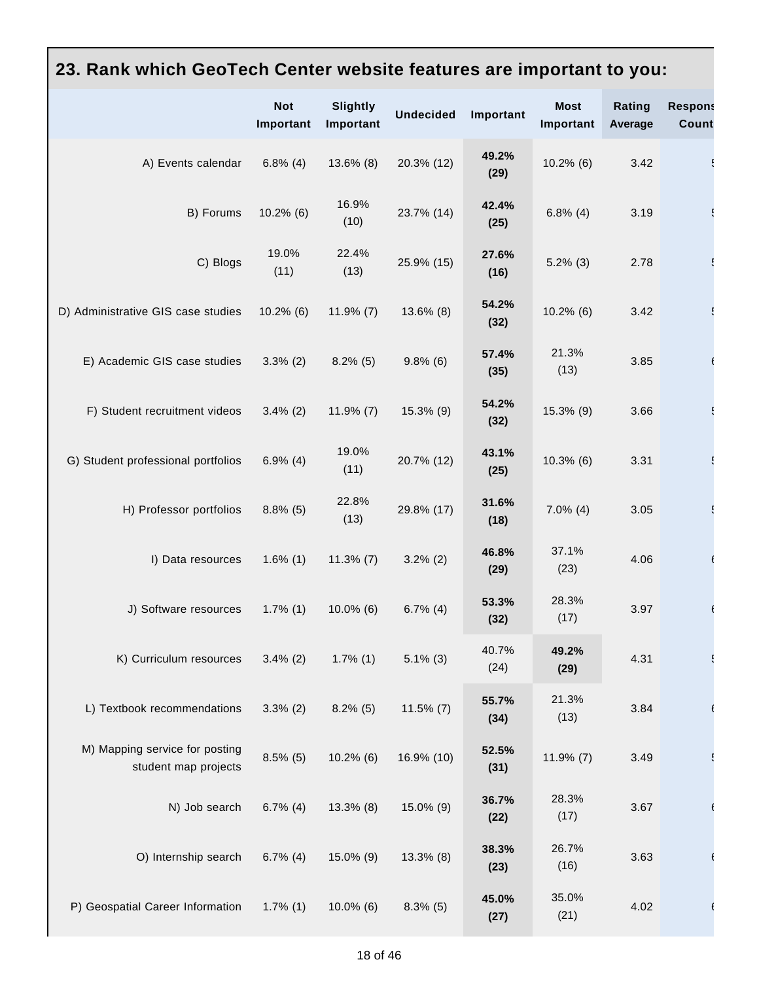# **23. Rank which GeoTech Center website features are important to you:**

|                                                        | <b>Not</b><br>Important | <b>Slightly</b><br>Important | <b>Undecided</b> | Important     | <b>Most</b><br>Important | Rating<br>Average | <b>Respons</b><br><b>Count</b> |
|--------------------------------------------------------|-------------------------|------------------------------|------------------|---------------|--------------------------|-------------------|--------------------------------|
| A) Events calendar                                     | $6.8\%$ (4)             | 13.6% (8)                    | 20.3% (12)       | 49.2%<br>(29) | $10.2\%$ (6)             | 3.42              |                                |
| B) Forums                                              | $10.2\%$ (6)            | 16.9%<br>(10)                | 23.7% (14)       | 42.4%<br>(25) | $6.8\%$ (4)              | 3.19              |                                |
| C) Blogs                                               | 19.0%<br>(11)           | 22.4%<br>(13)                | 25.9% (15)       | 27.6%<br>(16) | $5.2\%$ (3)              | 2.78              |                                |
| D) Administrative GIS case studies                     | $10.2\%$ (6)            | $11.9\%$ (7)                 | $13.6\%$ (8)     | 54.2%<br>(32) | $10.2\%$ (6)             | 3.42              |                                |
| E) Academic GIS case studies                           | $3.3\%$ (2)             | $8.2\%$ (5)                  | $9.8\%$ (6)      | 57.4%<br>(35) | 21.3%<br>(13)            | 3.85              |                                |
| F) Student recruitment videos                          | $3.4\%$ (2)             | $11.9\%$ (7)                 | 15.3% (9)        | 54.2%<br>(32) | 15.3% (9)                | 3.66              |                                |
| G) Student professional portfolios                     | $6.9\%$ (4)             | 19.0%<br>(11)                | 20.7% (12)       | 43.1%<br>(25) | $10.3\%$ (6)             | 3.31              |                                |
| H) Professor portfolios                                | $8.8\%$ (5)             | 22.8%<br>(13)                | 29.8% (17)       | 31.6%<br>(18) | $7.0\%$ (4)              | 3.05              |                                |
| I) Data resources                                      | $1.6\%$ (1)             | $11.3\%$ (7)                 | $3.2\%$ (2)      | 46.8%<br>(29) | 37.1%<br>(23)            | 4.06              |                                |
| J) Software resources                                  | $1.7\%$ (1)             | $10.0\%$ (6)                 | $6.7\%$ (4)      | 53.3%<br>(32) | 28.3%<br>(17)            | 3.97              |                                |
| K) Curriculum resources                                | $3.4\%$ (2)             | $1.7\%$ (1)                  | $5.1\%$ (3)      | 40.7%<br>(24) | 49.2%<br>(29)            | 4.31              |                                |
| L) Textbook recommendations                            | $3.3\%$ (2)             | $8.2\%$ (5)                  | $11.5\%$ (7)     | 55.7%<br>(34) | 21.3%<br>(13)            | 3.84              |                                |
| M) Mapping service for posting<br>student map projects | $8.5\%$ (5)             | $10.2\%$ (6)                 | 16.9% (10)       | 52.5%<br>(31) | $11.9\%$ (7)             | 3.49              |                                |
| N) Job search                                          | $6.7\%$ (4)             | $13.3\%$ (8)                 | 15.0% (9)        | 36.7%<br>(22) | 28.3%<br>(17)            | 3.67              |                                |
| O) Internship search                                   | $6.7\%$ (4)             | 15.0% (9)                    | $13.3\%$ (8)     | 38.3%<br>(23) | 26.7%<br>(16)            | 3.63              |                                |
| P) Geospatial Career Information                       | $1.7\%$ (1)             | $10.0\%$ (6)                 | $8.3\%$ (5)      | 45.0%<br>(27) | 35.0%<br>(21)            | 4.02              |                                |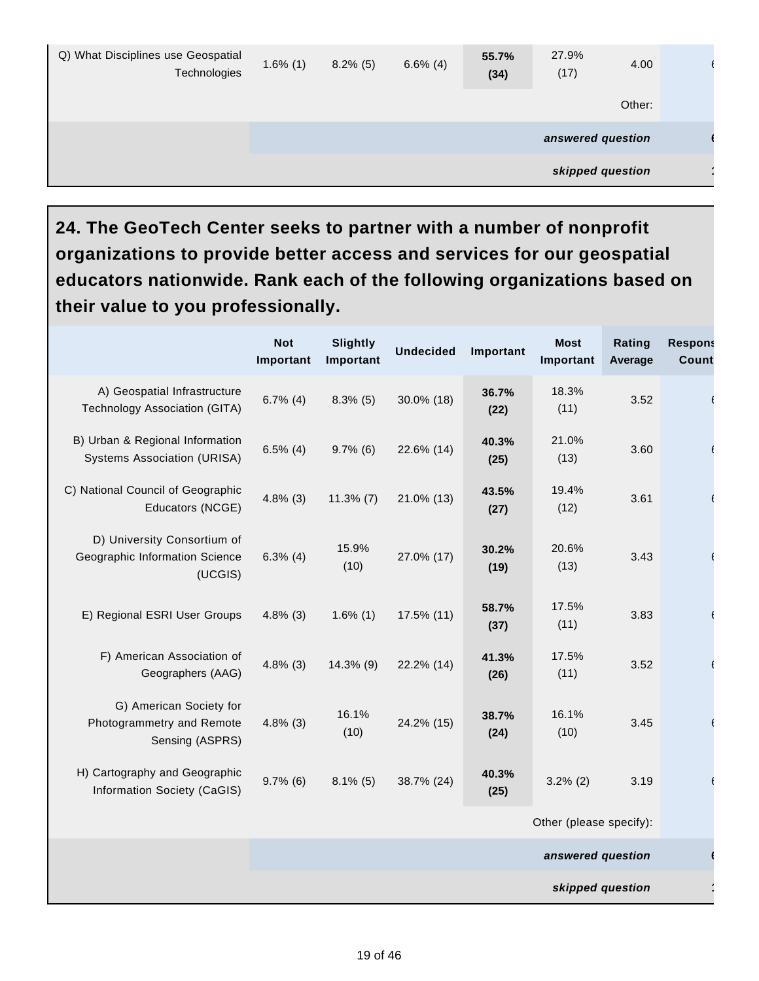| Q) What Disciplines use Geospatial<br>Technologies | $1.6\%$ (1) | $8.2\%$ (5) | $6.6\%$ (4) | 55.7%<br>(34) | 27.9%<br>(17)     | 4.00   |  |
|----------------------------------------------------|-------------|-------------|-------------|---------------|-------------------|--------|--|
|                                                    |             |             |             |               |                   | Other: |  |
|                                                    |             |             |             |               | answered question |        |  |
|                                                    |             |             |             |               | skipped question  |        |  |

**24. The GeoTech Center seeks to partner with a number of nonprofit organizations to provide better access and services for our geospatial educators nationwide. Rank each of the following organizations based on their value to you professionally.**

|                                                                          | <b>Not</b><br>Important | <b>Slightly</b><br>Important | <b>Undecided</b> | Important     | <b>Most</b><br>Important | Rating<br>Average | <b>Respons</b><br><b>Count</b> |
|--------------------------------------------------------------------------|-------------------------|------------------------------|------------------|---------------|--------------------------|-------------------|--------------------------------|
| A) Geospatial Infrastructure<br>Technology Association (GITA)            | $6.7\%$ (4)             | $8.3\%$ (5)                  | 30.0% (18)       | 36.7%<br>(22) | 18.3%<br>(11)            | 3.52              |                                |
| B) Urban & Regional Information<br><b>Systems Association (URISA)</b>    | $6.5\%$ (4)             | $9.7\%$ (6)                  | 22.6% (14)       | 40.3%<br>(25) | 21.0%<br>(13)            | 3.60              |                                |
| C) National Council of Geographic<br>Educators (NCGE)                    | $4.8\%$ (3)             | $11.3\%$ (7)                 | 21.0% (13)       | 43.5%<br>(27) | 19.4%<br>(12)            | 3.61              |                                |
| D) University Consortium of<br>Geographic Information Science<br>(UCGIS) | $6.3\%$ (4)             | 15.9%<br>(10)                | 27.0% (17)       | 30.2%<br>(19) | 20.6%<br>(13)            | 3.43              |                                |
| E) Regional ESRI User Groups                                             | $4.8\%$ (3)             | $1.6\%$ (1)                  | 17.5% (11)       | 58.7%<br>(37) | 17.5%<br>(11)            | 3.83              |                                |
| F) American Association of<br>Geographers (AAG)                          | $4.8\%$ (3)             | 14.3% (9)                    | 22.2% (14)       | 41.3%<br>(26) | 17.5%<br>(11)            | 3.52              |                                |
| G) American Society for<br>Photogrammetry and Remote<br>Sensing (ASPRS)  | $4.8\%$ (3)             | 16.1%<br>(10)                | 24.2% (15)       | 38.7%<br>(24) | 16.1%<br>(10)            | 3.45              |                                |
| H) Cartography and Geographic<br>Information Society (CaGIS)             | $9.7\%$ (6)             | $8.1\%$ (5)                  | 38.7% (24)       | 40.3%<br>(25) | $3.2\%$ (2)              | 3.19              |                                |
|                                                                          |                         |                              |                  |               | Other (please specify):  |                   |                                |
|                                                                          | answered question       |                              |                  |               |                          |                   |                                |
|                                                                          |                         |                              |                  |               |                          | skipped question  |                                |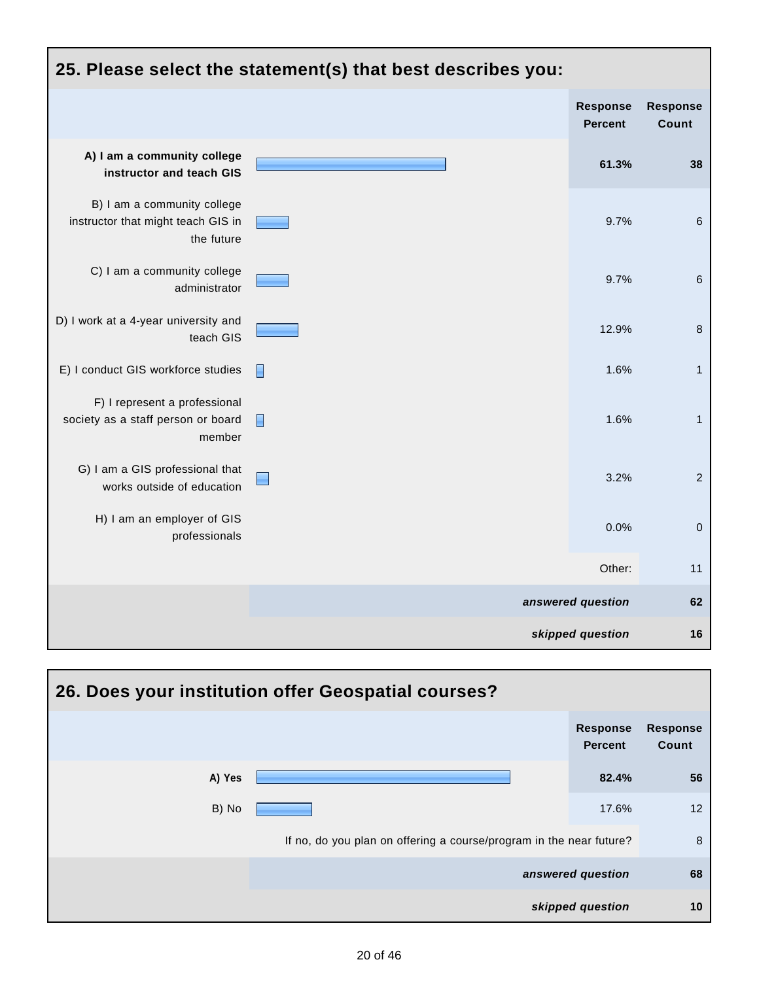| 25. Please select the statement(s) that best describes you:                     |        |                                   |                          |  |  |  |
|---------------------------------------------------------------------------------|--------|-----------------------------------|--------------------------|--|--|--|
|                                                                                 |        | <b>Response</b><br><b>Percent</b> | <b>Response</b><br>Count |  |  |  |
| A) I am a community college<br>instructor and teach GIS                         |        | 61.3%                             | 38                       |  |  |  |
| B) I am a community college<br>instructor that might teach GIS in<br>the future |        | 9.7%                              | $\,$ 6                   |  |  |  |
| C) I am a community college<br>administrator                                    |        | 9.7%                              | $\,6$                    |  |  |  |
| D) I work at a 4-year university and<br>teach GIS                               |        | 12.9%                             | $\bf 8$                  |  |  |  |
| E) I conduct GIS workforce studies                                              | E      | 1.6%                              | $\mathbf{1}$             |  |  |  |
| F) I represent a professional<br>society as a staff person or board<br>member   | $\Box$ | 1.6%                              | $\mathbf{1}$             |  |  |  |
| G) I am a GIS professional that<br>works outside of education                   |        | 3.2%                              | $\overline{2}$           |  |  |  |
| H) I am an employer of GIS<br>professionals                                     |        | 0.0%                              | $\pmb{0}$                |  |  |  |
|                                                                                 |        | Other:                            | 11                       |  |  |  |
|                                                                                 |        | answered question                 | 62                       |  |  |  |
|                                                                                 |        | skipped question                  | 16                       |  |  |  |

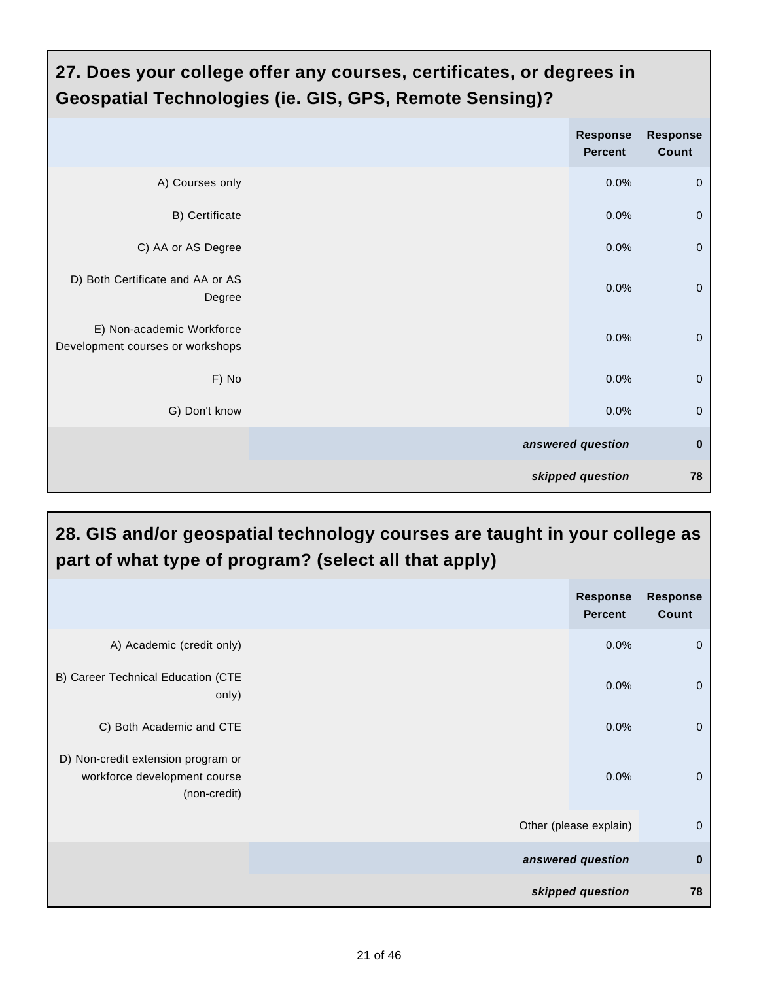| 27. Does your college offer any courses, certificates, or degrees in<br><b>Geospatial Technologies (ie. GIS, GPS, Remote Sensing)?</b> |  |                                   |                          |  |  |  |  |
|----------------------------------------------------------------------------------------------------------------------------------------|--|-----------------------------------|--------------------------|--|--|--|--|
|                                                                                                                                        |  | <b>Response</b><br><b>Percent</b> | <b>Response</b><br>Count |  |  |  |  |
| A) Courses only                                                                                                                        |  | 0.0%                              | $\mathbf 0$              |  |  |  |  |
| B) Certificate                                                                                                                         |  | 0.0%                              | $\overline{0}$           |  |  |  |  |
| C) AA or AS Degree                                                                                                                     |  | 0.0%                              | $\mathbf 0$              |  |  |  |  |
| D) Both Certificate and AA or AS<br>Degree                                                                                             |  | 0.0%                              | $\overline{0}$           |  |  |  |  |
| E) Non-academic Workforce<br>Development courses or workshops                                                                          |  | 0.0%                              | $\mathbf 0$              |  |  |  |  |
| F) No                                                                                                                                  |  | 0.0%                              | $\mathbf 0$              |  |  |  |  |
| G) Don't know                                                                                                                          |  | 0.0%                              | $\mathbf 0$              |  |  |  |  |
|                                                                                                                                        |  | answered question                 | $\bf{0}$                 |  |  |  |  |
|                                                                                                                                        |  | skipped question                  | 78                       |  |  |  |  |

| 28. GIS and/or geospatial technology courses are taught in your college as<br>part of what type of program? (select all that apply) |  |                                   |                          |  |  |  |  |
|-------------------------------------------------------------------------------------------------------------------------------------|--|-----------------------------------|--------------------------|--|--|--|--|
|                                                                                                                                     |  | <b>Response</b><br><b>Percent</b> | <b>Response</b><br>Count |  |  |  |  |
| A) Academic (credit only)                                                                                                           |  | 0.0%                              | $\mathbf 0$              |  |  |  |  |
| B) Career Technical Education (CTE<br>only)                                                                                         |  | 0.0%                              | $\mathbf 0$              |  |  |  |  |
| C) Both Academic and CTE                                                                                                            |  | 0.0%                              | $\mathbf 0$              |  |  |  |  |
| D) Non-credit extension program or<br>workforce development course<br>(non-credit)                                                  |  | 0.0%                              | $\overline{0}$           |  |  |  |  |
|                                                                                                                                     |  | Other (please explain)            | $\mathbf 0$              |  |  |  |  |
|                                                                                                                                     |  | answered question                 | $\bf{0}$                 |  |  |  |  |
|                                                                                                                                     |  | skipped question                  | 78                       |  |  |  |  |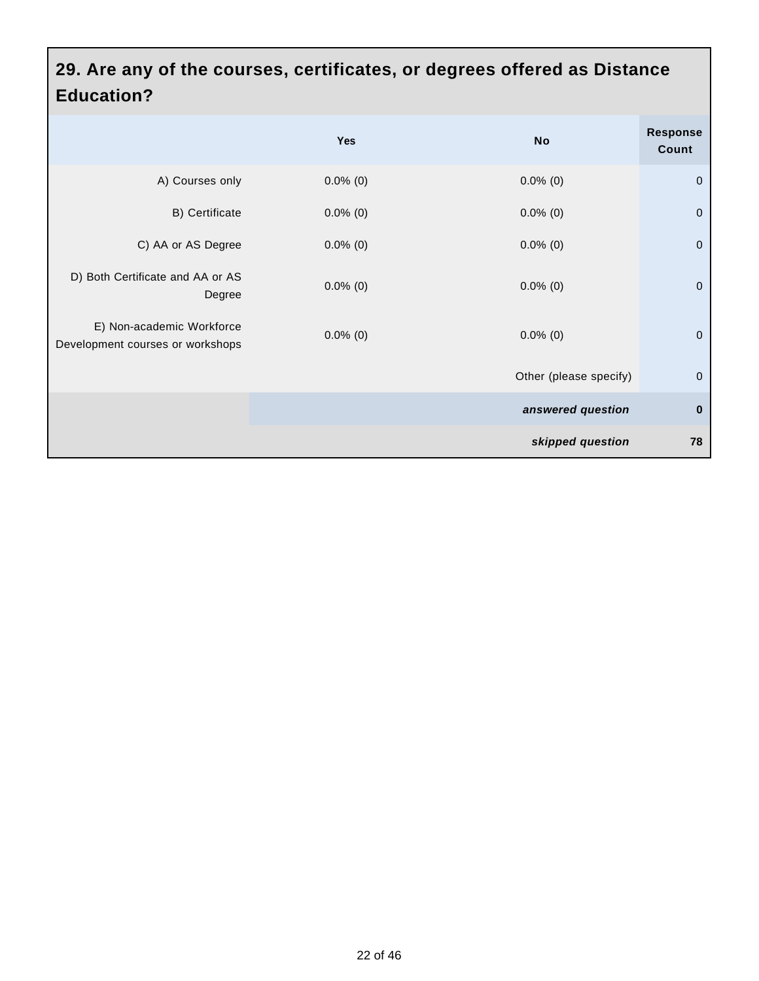#### **29. Are any of the courses, certificates, or degrees offered as Distance Education?**

|                                                               | Yes         | <b>No</b>              | <b>Response</b><br>Count |
|---------------------------------------------------------------|-------------|------------------------|--------------------------|
| A) Courses only                                               | $0.0\%$ (0) | $0.0\%$ (0)            | $\pmb{0}$                |
| B) Certificate                                                | $0.0\%$ (0) | $0.0\%$ (0)            | $\pmb{0}$                |
| C) AA or AS Degree                                            | $0.0\%$ (0) | $0.0\%$ (0)            | $\pmb{0}$                |
| D) Both Certificate and AA or AS<br>Degree                    | $0.0\%$ (0) | $0.0\%$ (0)            | $\mathbf 0$              |
| E) Non-academic Workforce<br>Development courses or workshops | $0.0\%$ (0) | $0.0\%$ (0)            | $\pmb{0}$                |
|                                                               |             | Other (please specify) | $\pmb{0}$                |
|                                                               |             | answered question      | $\pmb{0}$                |
|                                                               |             | skipped question       | 78                       |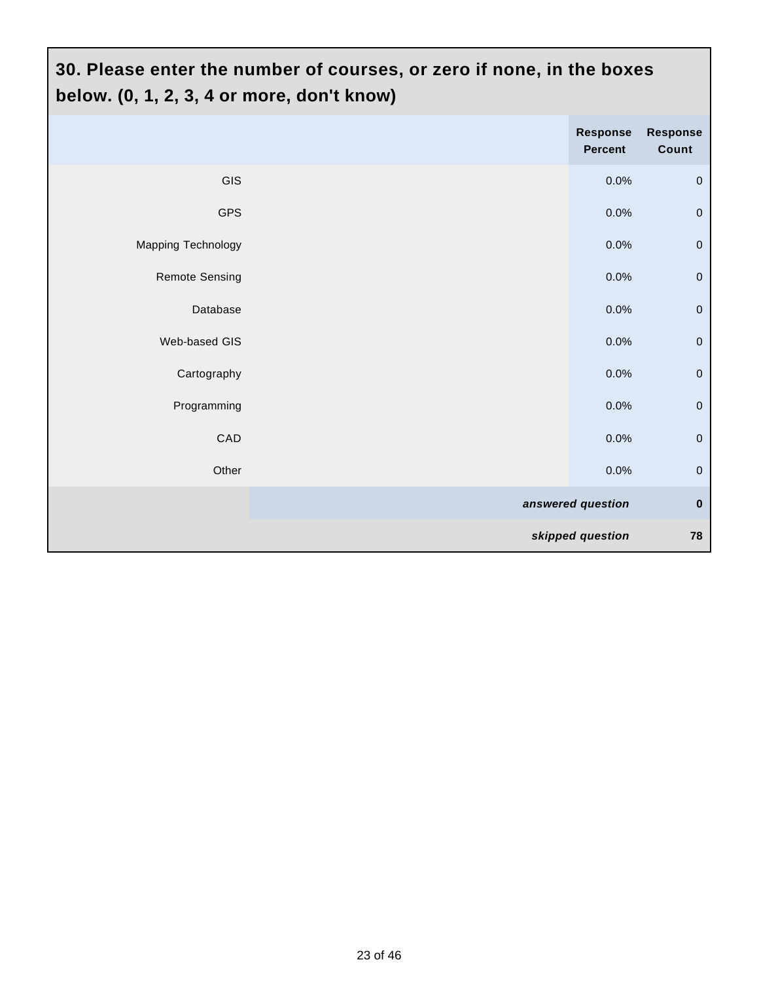# **30. Please enter the number of courses, or zero if none, in the boxes below. (0, 1, 2, 3, 4 or more, don't know)**

|                       | Response<br>Percent | Response<br>Count |
|-----------------------|---------------------|-------------------|
| <b>GIS</b>            | 0.0%                | $\mathbf 0$       |
| <b>GPS</b>            | 0.0%                | $\mathbf 0$       |
| Mapping Technology    | 0.0%                | $\mathbf 0$       |
| <b>Remote Sensing</b> | 0.0%                | $\mathbf 0$       |
| Database              | 0.0%                | $\mathbf 0$       |
| Web-based GIS         | 0.0%                | $\pmb{0}$         |
| Cartography           | 0.0%                | $\pmb{0}$         |
| Programming           | $0.0\%$             | $\pmb{0}$         |
| CAD                   | 0.0%                | $\mathbf 0$       |
| Other                 | 0.0%                | $\mathbf 0$       |
|                       | answered question   | $\pmb{0}$         |
|                       | skipped question    | 78                |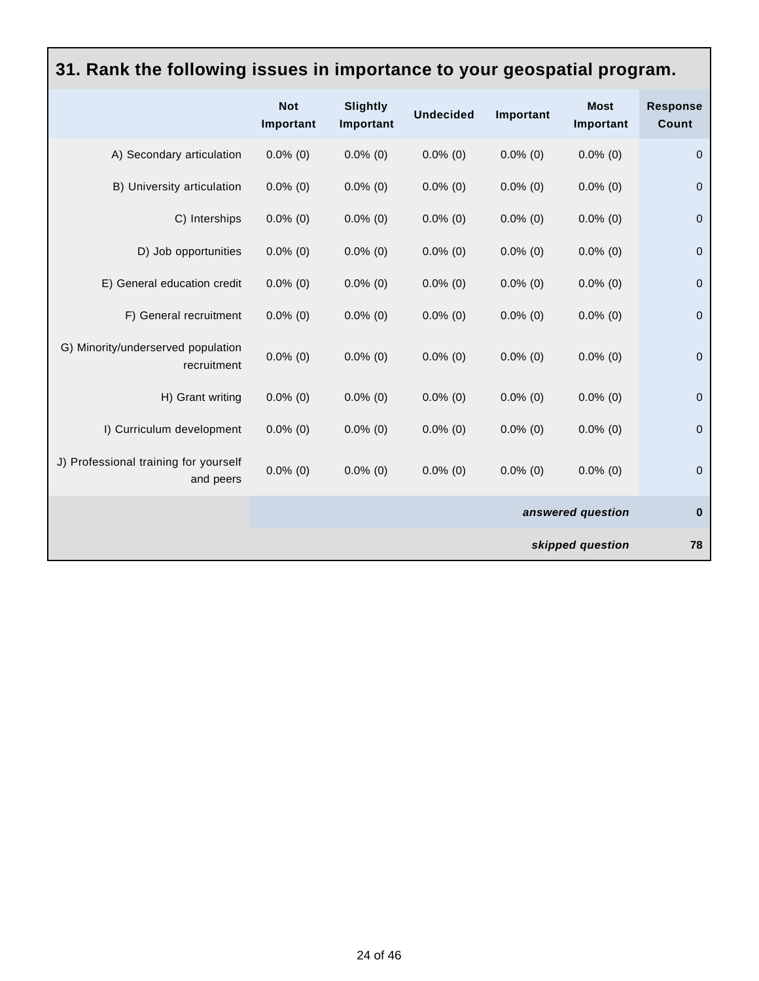| 31. Rank the following issues in importance to your geospatial program. |                         |                              |                  |                   |                          |                          |  |  |
|-------------------------------------------------------------------------|-------------------------|------------------------------|------------------|-------------------|--------------------------|--------------------------|--|--|
|                                                                         | <b>Not</b><br>Important | <b>Slightly</b><br>Important | <b>Undecided</b> | Important         | <b>Most</b><br>Important | <b>Response</b><br>Count |  |  |
| A) Secondary articulation                                               | $0.0\%$ (0)             | $0.0\%$ (0)                  | $0.0\%$ (0)      | $0.0\%$ (0)       | $0.0\%$ (0)              | $\mathbf 0$              |  |  |
| B) University articulation                                              | $0.0\%$ (0)             | $0.0\%$ (0)                  | $0.0\%$ (0)      | $0.0\%$ (0)       | $0.0\%$ (0)              | $\mathbf 0$              |  |  |
| C) Interships                                                           | $0.0\%$ (0)             | $0.0\%$ (0)                  | $0.0\%$ (0)      | $0.0\%$ (0)       | $0.0\%$ (0)              | $\pmb{0}$                |  |  |
| D) Job opportunities                                                    | $0.0\%$ (0)             | $0.0\%$ (0)                  | $0.0\%$ (0)      | $0.0\%$ (0)       | $0.0\%$ (0)              | $\boldsymbol{0}$         |  |  |
| E) General education credit                                             | $0.0\%$ (0)             | $0.0\%$ (0)                  | $0.0\%$ (0)      | $0.0\%$ (0)       | $0.0\%$ (0)              | $\pmb{0}$                |  |  |
| F) General recruitment                                                  | $0.0\%$ (0)             | $0.0\%$ (0)                  | $0.0\%$ (0)      | $0.0\%$ (0)       | $0.0\%$ (0)              | $\mathbf 0$              |  |  |
| G) Minority/underserved population<br>recruitment                       | $0.0\%$ (0)             | $0.0\%$ (0)                  | $0.0\%$ (0)      | $0.0\%$ (0)       | $0.0\%$ (0)              | $\boldsymbol{0}$         |  |  |
| H) Grant writing                                                        | $0.0\%$ (0)             | $0.0\%$ (0)                  | $0.0\%$ (0)      | $0.0\%$ (0)       | $0.0\%$ (0)              | $\mathbf 0$              |  |  |
| I) Curriculum development                                               | $0.0\%$ (0)             | $0.0\%$ (0)                  | $0.0\%$ (0)      | $0.0\%$ (0)       | $0.0\%$ (0)              | $\mathbf 0$              |  |  |
| J) Professional training for yourself<br>and peers                      | $0.0\%$ (0)             | $0.0\%$ (0)                  | $0.0\%$ (0)      | $0.0\%$ (0)       | $0.0\%$ (0)              | $\mathbf 0$              |  |  |
|                                                                         |                         |                              |                  | answered question | $\bf{0}$                 |                          |  |  |
| skipped question                                                        |                         |                              |                  |                   | 78                       |                          |  |  |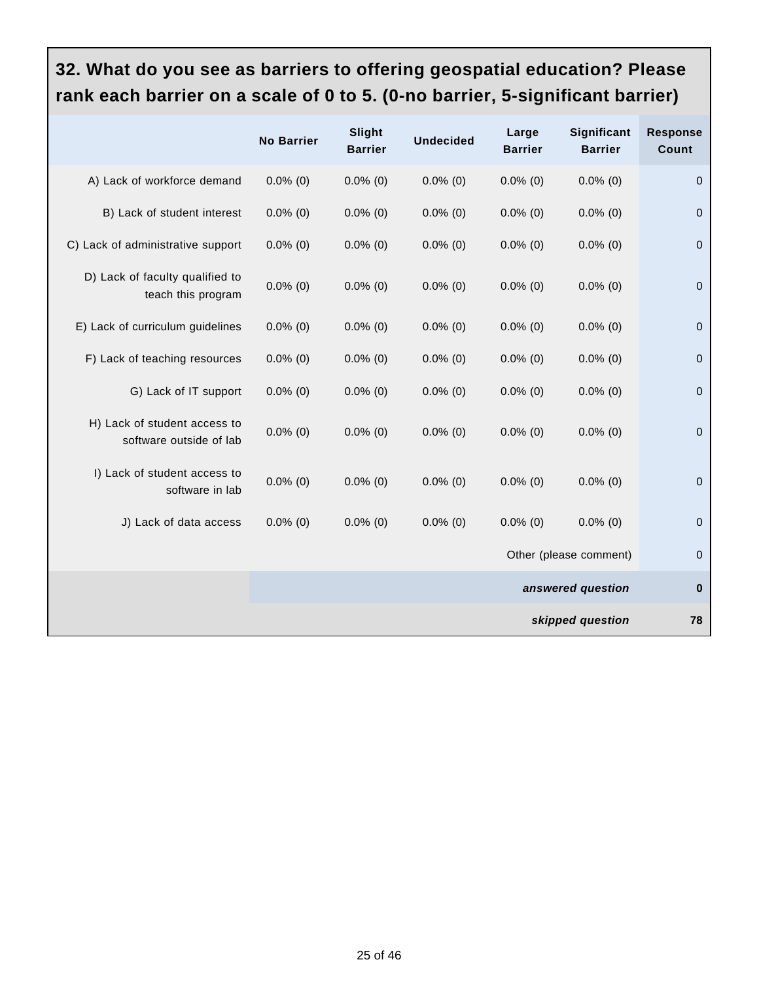#### **32. What do you see as barriers to offering geospatial education? Please rank each barrier on a scale of 0 to 5. (0-no barrier, 5-significant barrier)**

|                                                         | <b>No Barrier</b> | Slight<br><b>Barrier</b> | <b>Undecided</b> | Large<br><b>Barrier</b> | Significant<br><b>Barrier</b> | <b>Response</b><br>Count |
|---------------------------------------------------------|-------------------|--------------------------|------------------|-------------------------|-------------------------------|--------------------------|
| A) Lack of workforce demand                             | $0.0\%$ (0)       | $0.0\%$ (0)              | $0.0\%$ (0)      | $0.0\%$ (0)             | $0.0\%$ (0)                   | $\mathbf 0$              |
| B) Lack of student interest                             | $0.0\%$ (0)       | $0.0\%$ (0)              | $0.0\%$ (0)      | $0.0\%$ (0)             | $0.0\%$ (0)                   | $\mathbf 0$              |
| C) Lack of administrative support                       | $0.0\%$ (0)       | $0.0\%$ (0)              | $0.0\%$ (0)      | $0.0\%$ (0)             | $0.0\%$ (0)                   | $\pmb{0}$                |
| D) Lack of faculty qualified to<br>teach this program   | $0.0\%$ (0)       | $0.0\%$ (0)              | $0.0\%$ (0)      | $0.0\%$ (0)             | $0.0\%$ (0)                   | $\mathbf 0$              |
| E) Lack of curriculum guidelines                        | $0.0\%$ (0)       | $0.0\%$ (0)              | $0.0\%$ (0)      | $0.0\%$ (0)             | $0.0\%$ (0)                   | $\mathbf 0$              |
| F) Lack of teaching resources                           | $0.0\%$ (0)       | $0.0\%$ (0)              | $0.0\%$ (0)      | $0.0\%$ (0)             | $0.0\%$ (0)                   | $\mathbf 0$              |
| G) Lack of IT support                                   | $0.0\%$ (0)       | $0.0\%$ (0)              | $0.0\%$ (0)      | $0.0\%$ (0)             | $0.0\%$ (0)                   | $\mathbf 0$              |
| H) Lack of student access to<br>software outside of lab | $0.0\%$ (0)       | $0.0\%$ (0)              | $0.0\%$ (0)      | $0.0\%$ (0)             | $0.0\%$ (0)                   | $\mathbf 0$              |
| I) Lack of student access to<br>software in lab         | $0.0\%$ (0)       | $0.0\%$ (0)              | $0.0\%$ (0)      | $0.0\%$ (0)             | $0.0\%$ (0)                   | $\mathbf 0$              |
| J) Lack of data access                                  | $0.0\%$ (0)       | $0.0\%$ (0)              | $0.0\%$ (0)      | $0.0\%$ (0)             | $0.0\%$ (0)                   | $\pmb{0}$                |
|                                                         |                   |                          |                  |                         | Other (please comment)        | $\mathbf 0$              |
|                                                         |                   |                          |                  |                         | answered question             | $\pmb{0}$                |
|                                                         |                   |                          |                  |                         | skipped question              | 78                       |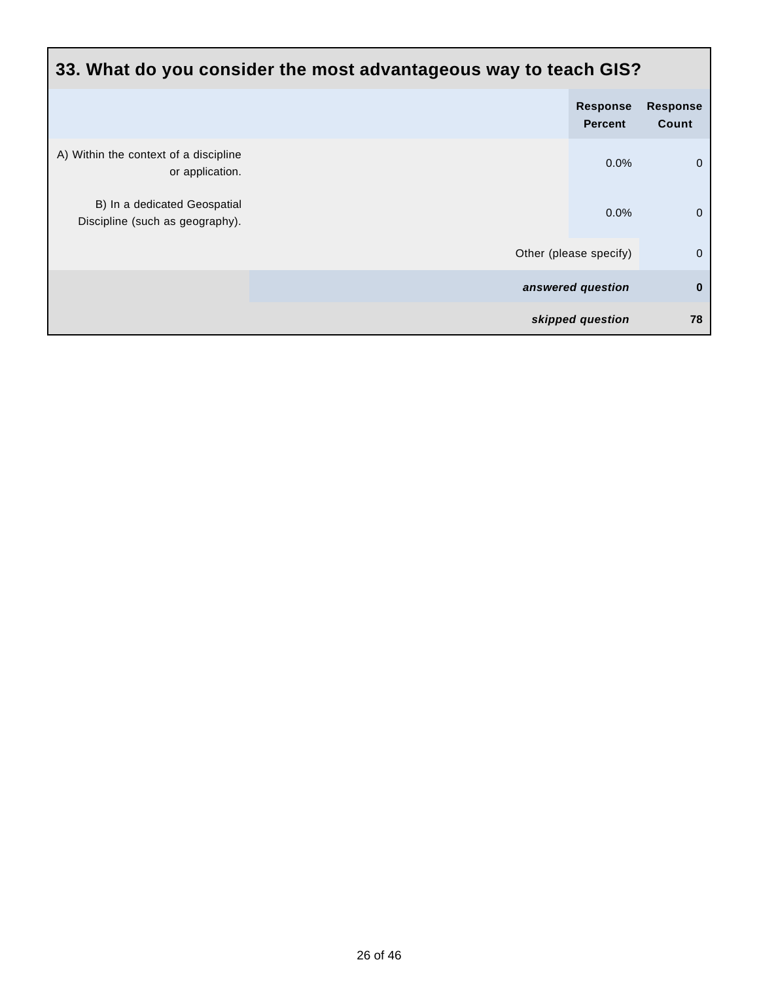| 33. What do you consider the most advantageous way to teach GIS? |                        |                                   |                          |  |  |
|------------------------------------------------------------------|------------------------|-----------------------------------|--------------------------|--|--|
|                                                                  |                        | <b>Response</b><br><b>Percent</b> | <b>Response</b><br>Count |  |  |
| A) Within the context of a discipline<br>or application.         |                        | 0.0%                              | $\mathbf 0$              |  |  |
| B) In a dedicated Geospatial<br>Discipline (such as geography).  |                        | 0.0%                              | $\mathbf 0$              |  |  |
|                                                                  | Other (please specify) |                                   | $\mathbf 0$              |  |  |
|                                                                  | answered question      |                                   | $\bf{0}$                 |  |  |
|                                                                  | skipped question       |                                   | 78                       |  |  |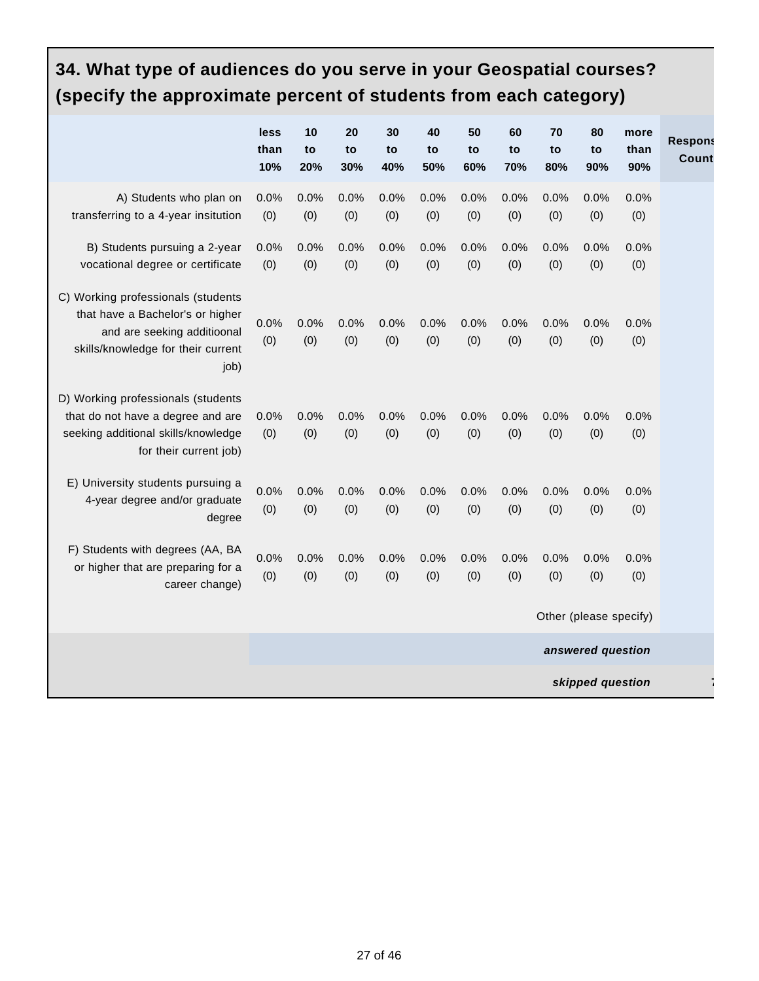# **34. What type of audiences do you serve in your Geospatial courses? (specify the approximate percent of students from each category)**

|                                                                                                                                                     | less<br>than<br>10% | 10<br>to<br>20% | 20<br>to<br>30% | 30<br>to<br>40% | 40<br>to<br>50% | 50<br>to<br>60% | 60<br>to<br>70% | 70<br>to<br>80% | 80<br>to<br>90%        | more<br>than<br>90% | <b>Respons</b><br>Count |
|-----------------------------------------------------------------------------------------------------------------------------------------------------|---------------------|-----------------|-----------------|-----------------|-----------------|-----------------|-----------------|-----------------|------------------------|---------------------|-------------------------|
| A) Students who plan on<br>transferring to a 4-year insitution                                                                                      | 0.0%<br>(0)         | 0.0%<br>(0)     | 0.0%<br>(0)     | 0.0%<br>(0)     | 0.0%<br>(0)     | 0.0%<br>(0)     | 0.0%<br>(0)     | 0.0%<br>(0)     | 0.0%<br>(0)            | 0.0%<br>(0)         |                         |
| B) Students pursuing a 2-year<br>vocational degree or certificate                                                                                   | 0.0%<br>(0)         | 0.0%<br>(0)     | 0.0%<br>(0)     | 0.0%<br>(0)     | 0.0%<br>(0)     | 0.0%<br>(0)     | 0.0%<br>(0)     | 0.0%<br>(0)     | 0.0%<br>(0)            | 0.0%<br>(0)         |                         |
| C) Working professionals (students<br>that have a Bachelor's or higher<br>and are seeking additioonal<br>skills/knowledge for their current<br>job) | 0.0%<br>(0)         | 0.0%<br>(0)     | 0.0%<br>(0)     | 0.0%<br>(0)     | 0.0%<br>(0)     | 0.0%<br>(0)     | 0.0%<br>(0)     | 0.0%<br>(0)     | 0.0%<br>(0)            | 0.0%<br>(0)         |                         |
| D) Working professionals (students<br>that do not have a degree and are<br>seeking additional skills/knowledge<br>for their current job)            | 0.0%<br>(0)         | 0.0%<br>(0)     | 0.0%<br>(0)     | 0.0%<br>(0)     | 0.0%<br>(0)     | 0.0%<br>(0)     | 0.0%<br>(0)     | 0.0%<br>(0)     | 0.0%<br>(0)            | 0.0%<br>(0)         |                         |
| E) University students pursuing a<br>4-year degree and/or graduate<br>degree                                                                        | 0.0%<br>(0)         | 0.0%<br>(0)     | 0.0%<br>(0)     | 0.0%<br>(0)     | 0.0%<br>(0)     | 0.0%<br>(0)     | 0.0%<br>(0)     | 0.0%<br>(0)     | 0.0%<br>(0)            | 0.0%<br>(0)         |                         |
| F) Students with degrees (AA, BA<br>or higher that are preparing for a<br>career change)                                                            | 0.0%<br>(0)         | 0.0%<br>(0)     | 0.0%<br>(0)     | 0.0%<br>(0)     | 0.0%<br>(0)     | 0.0%<br>(0)     | 0.0%<br>(0)     | 0.0%<br>(0)     | 0.0%<br>(0)            | 0.0%<br>(0)         |                         |
|                                                                                                                                                     |                     |                 |                 |                 |                 |                 |                 |                 | Other (please specify) |                     |                         |
|                                                                                                                                                     |                     |                 |                 |                 |                 |                 |                 |                 | answered question      |                     |                         |
| skipped question                                                                                                                                    |                     |                 |                 |                 |                 |                 |                 |                 |                        |                     |                         |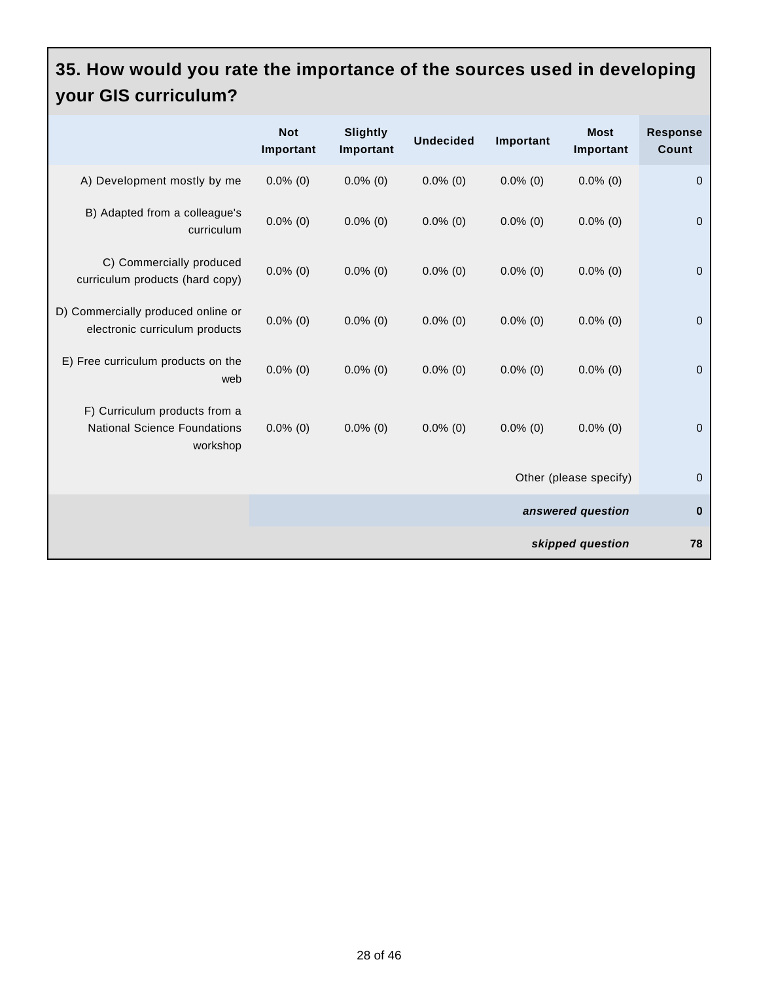#### **35. How would you rate the importance of the sources used in developing your GIS curriculum?**

|                                                                                  | <b>Not</b><br>Important | Slightly<br>Important | <b>Undecided</b> | Important   | <b>Most</b><br>Important | <b>Response</b><br>Count |
|----------------------------------------------------------------------------------|-------------------------|-----------------------|------------------|-------------|--------------------------|--------------------------|
| A) Development mostly by me                                                      | $0.0\%$ (0)             | $0.0\%$ (0)           | $0.0\%$ (0)      | $0.0\%$ (0) | $0.0\%$ (0)              | $\mathbf 0$              |
| B) Adapted from a colleague's<br>curriculum                                      | $0.0\%$ (0)             | $0.0\%$ (0)           | $0.0\%$ (0)      | $0.0\%$ (0) | $0.0\%$ (0)              | $\overline{0}$           |
| C) Commercially produced<br>curriculum products (hard copy)                      | $0.0\%$ (0)             | $0.0\%$ (0)           | $0.0\%$ (0)      | $0.0\%$ (0) | $0.0\%$ (0)              | $\mathbf 0$              |
| D) Commercially produced online or<br>electronic curriculum products             | $0.0\%$ (0)             | $0.0\%$ (0)           | $0.0\%$ (0)      | $0.0\%$ (0) | $0.0\%$ (0)              | $\mathbf 0$              |
| E) Free curriculum products on the<br>web                                        | $0.0\%$ (0)             | $0.0\%$ (0)           | $0.0\%$ (0)      | $0.0\%$ (0) | $0.0\%$ (0)              | $\overline{0}$           |
| F) Curriculum products from a<br><b>National Science Foundations</b><br>workshop | $0.0\%$ (0)             | $0.0\%$ (0)           | $0.0\%$ (0)      | $0.0\%$ (0) | $0.0\%$ (0)              | $\overline{0}$           |
|                                                                                  |                         |                       |                  |             | Other (please specify)   | $\mathbf 0$              |
|                                                                                  |                         |                       |                  |             | answered question        | $\bf{0}$                 |
|                                                                                  |                         |                       |                  |             | skipped question         | 78                       |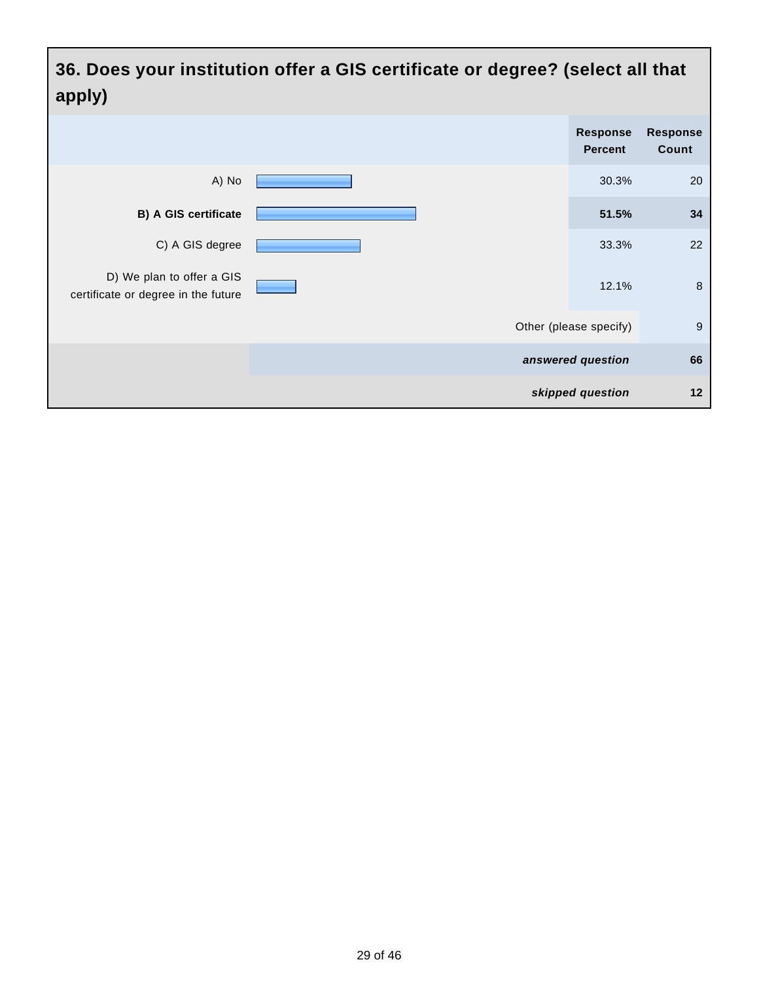**36. Does your institution offer a GIS certificate or degree? (select all that apply)**

| <b>Response</b><br>Count | Response<br><b>Percent</b> |  |                                                                  |
|--------------------------|----------------------------|--|------------------------------------------------------------------|
| 20                       | 30.3%                      |  | A) No                                                            |
| 34                       | 51.5%                      |  | B) A GIS certificate                                             |
| 22                       | 33.3%                      |  | C) A GIS degree                                                  |
| $\,8\,$                  | 12.1%                      |  | D) We plan to offer a GIS<br>certificate or degree in the future |
| 9                        | Other (please specify)     |  |                                                                  |
| 66                       | answered question          |  |                                                                  |
| 12                       | skipped question           |  |                                                                  |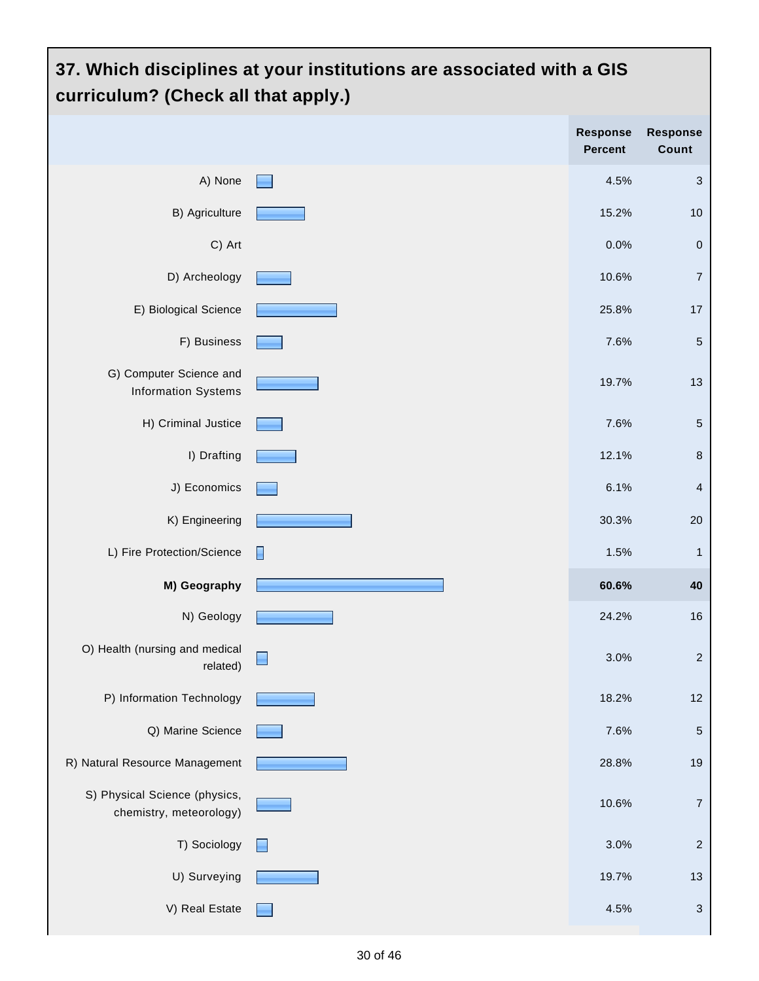#### **37. Which disciplines at your institutions are associated with a GIS curriculum? (Check all that apply.) Response Response Percent Count** A) None 4.5% 3 B) Agriculture **15.2%** 10 C) Art 0.0% 0 D) Archeology **10.6%** 7 E) Biological Science **25.8%** 17 F) Business  $\boxed{5}$ G) Computer Science and 19.7% 13 Information Systems H) Criminal Justice **7.6%** 5 **I)** Drafting **12.1%** 8 J) Economics 6.1% 4 K) Engineering  $\sim$  2008 2008 2008 2008 2008 30.3% 2008 2009 30.3% 30.3% 30.3% 30.3% 30.3% 30.3% 30.3% 30.3% 30.3% 30.3% 30.3% 30.3% 30.3% 30.3% 30.3% 30.3% 30.3% 30.3% 30.3% 30.3% 30.3% 30.3% 30.3% 30.3% 30.3% 30.3% 30.3 L) Fire Protection/Science  $\Box$ **M) Geography 60.6% 40** N) Geology 24.2% 16 O) Health (nursing and medical  $\Box$ 3.0% 2 related) P) Information Technology **18.2%** 12 Q) Marine Science **7.6%** 5 R) Natural Resource Management **1986** and 28.8% 19 S) Physical Science (physics, 10.6% 7 chemistry, meteorology)  $\Box$  T) Sociology  $\Box$  2 U) Surveying **19.7%** 13 V) Real Estate **12.1 Seconds** 2 and 3 and 3 and 3 and 3 and 3 and 3 and 3 and 3 and 3 and 3 and 3 and 3 and 3 and 3 and 3 and 3 and 3 and 3 and 3 and 3 and 3 and 3 and 3 and 3 and 3 and 3 and 3 and 3 and 3 and 3 and 3 and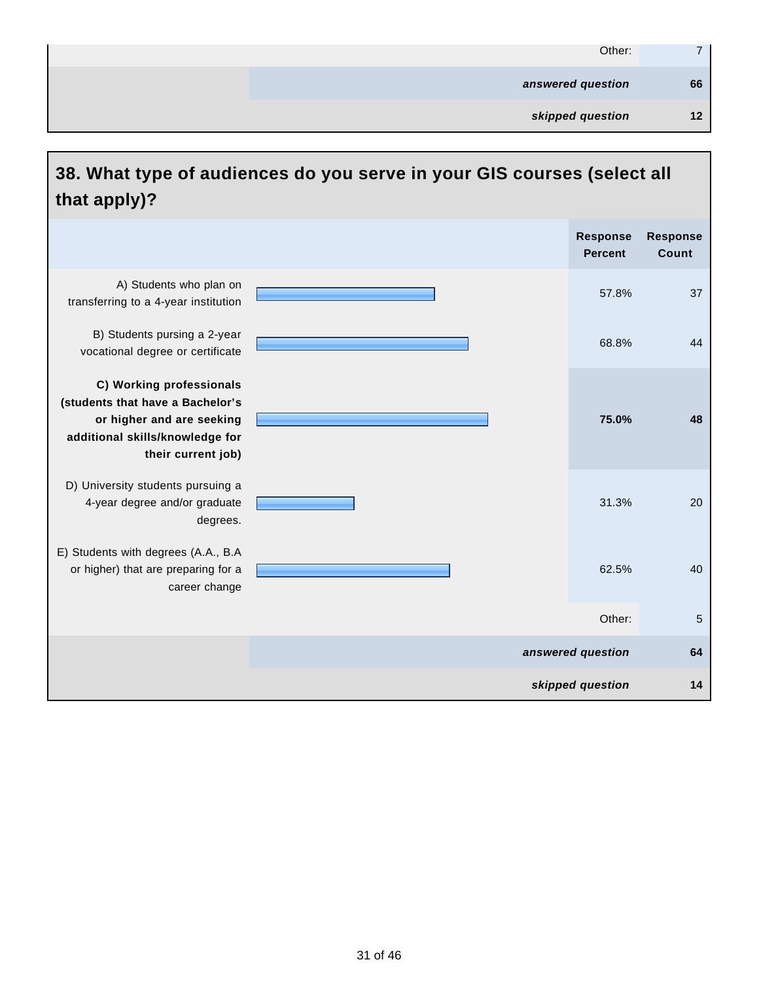| Other:            | $\overline{ }$ |
|-------------------|----------------|
| answered question | 66             |
| skipped question  | 12             |

# **38. What type of audiences do you serve in your GIS courses (select all that apply)?**

|                                                                                                                                                    | <b>Response</b><br><b>Percent</b> | <b>Response</b><br>Count |
|----------------------------------------------------------------------------------------------------------------------------------------------------|-----------------------------------|--------------------------|
| A) Students who plan on<br>transferring to a 4-year institution                                                                                    | 57.8%                             | 37                       |
| B) Students pursing a 2-year<br>vocational degree or certificate                                                                                   | 68.8%                             | 44                       |
| C) Working professionals<br>(students that have a Bachelor's<br>or higher and are seeking<br>additional skills/knowledge for<br>their current job) | 75.0%                             | 48                       |
| D) University students pursuing a<br>4-year degree and/or graduate<br>degrees.                                                                     | 31.3%                             | 20                       |
| E) Students with degrees (A.A., B.A<br>or higher) that are preparing for a<br>career change                                                        | 62.5%                             | 40                       |
|                                                                                                                                                    | Other:                            | 5                        |
|                                                                                                                                                    | answered question                 | 64                       |
|                                                                                                                                                    | skipped question                  | 14                       |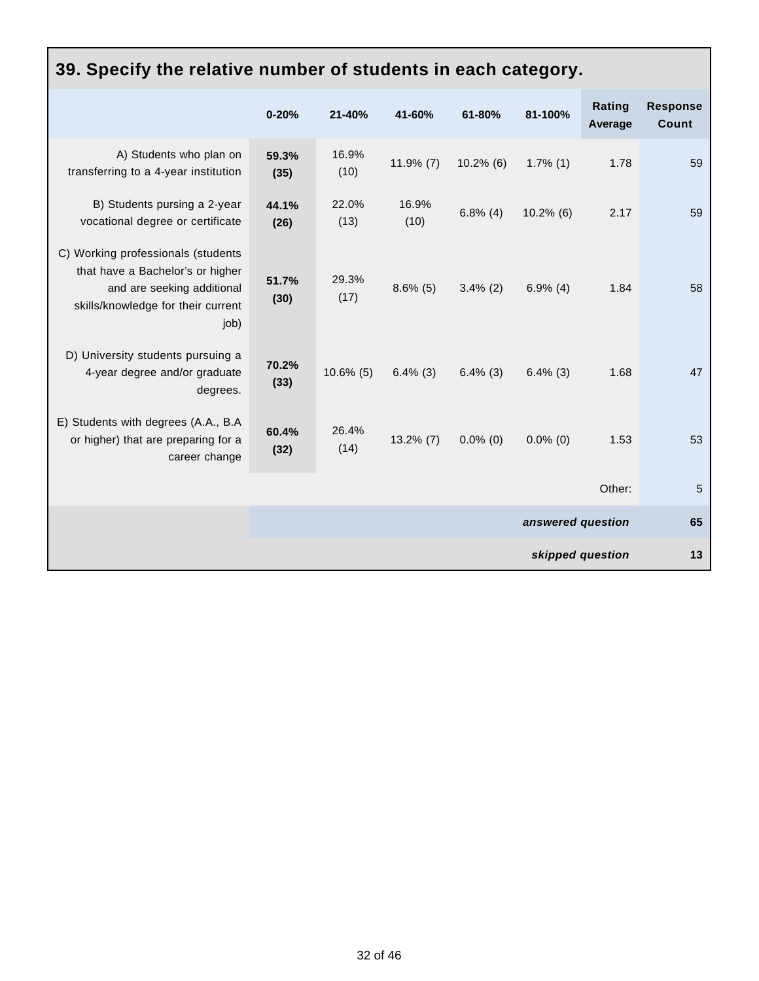| 39. Specify the relative number of students in each category.                                                                                      |               |               |               |              |                   |                   |                                 |
|----------------------------------------------------------------------------------------------------------------------------------------------------|---------------|---------------|---------------|--------------|-------------------|-------------------|---------------------------------|
|                                                                                                                                                    | $0 - 20%$     | 21-40%        | 41-60%        | 61-80%       | 81-100%           | Rating<br>Average | <b>Response</b><br><b>Count</b> |
| A) Students who plan on<br>transferring to a 4-year institution                                                                                    | 59.3%<br>(35) | 16.9%<br>(10) | $11.9\%$ (7)  | $10.2\%$ (6) | $1.7\%$ (1)       | 1.78              | 59                              |
| B) Students pursing a 2-year<br>vocational degree or certificate                                                                                   | 44.1%<br>(26) | 22.0%<br>(13) | 16.9%<br>(10) | $6.8\%$ (4)  | $10.2\%$ (6)      | 2.17              | 59                              |
| C) Working professionals (students<br>that have a Bachelor's or higher<br>and are seeking additional<br>skills/knowledge for their current<br>job) | 51.7%<br>(30) | 29.3%<br>(17) | $8.6\%$ (5)   | $3.4\%$ (2)  | $6.9\%$ (4)       | 1.84              | 58                              |
| D) University students pursuing a<br>4-year degree and/or graduate<br>degrees.                                                                     | 70.2%<br>(33) | $10.6\%$ (5)  | $6.4\%$ (3)   | $6.4\%$ (3)  | $6.4\%$ (3)       | 1.68              | 47                              |
| E) Students with degrees (A.A., B.A.<br>or higher) that are preparing for a<br>career change                                                       | 60.4%<br>(32) | 26.4%<br>(14) | $13.2\%$ (7)  | $0.0\%$ (0)  | $0.0\%$ (0)       | 1.53              | 53                              |
|                                                                                                                                                    |               |               |               |              |                   | Other:            | 5                               |
|                                                                                                                                                    |               |               |               |              | answered question |                   | 65                              |
|                                                                                                                                                    |               |               |               |              |                   | skipped question  | 13                              |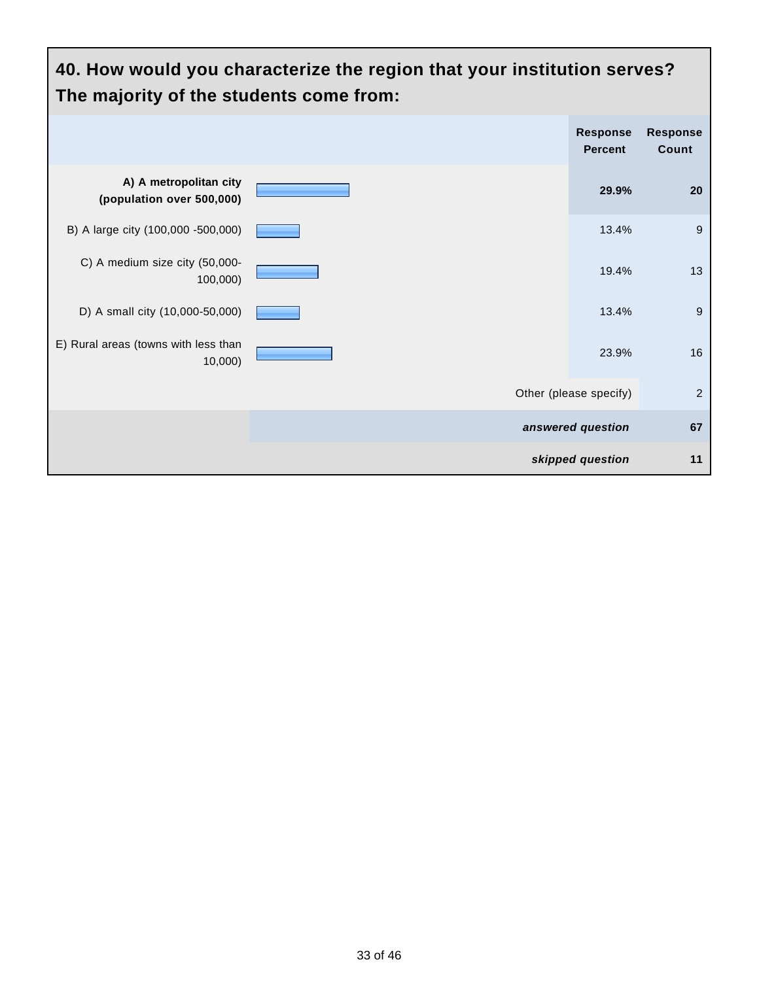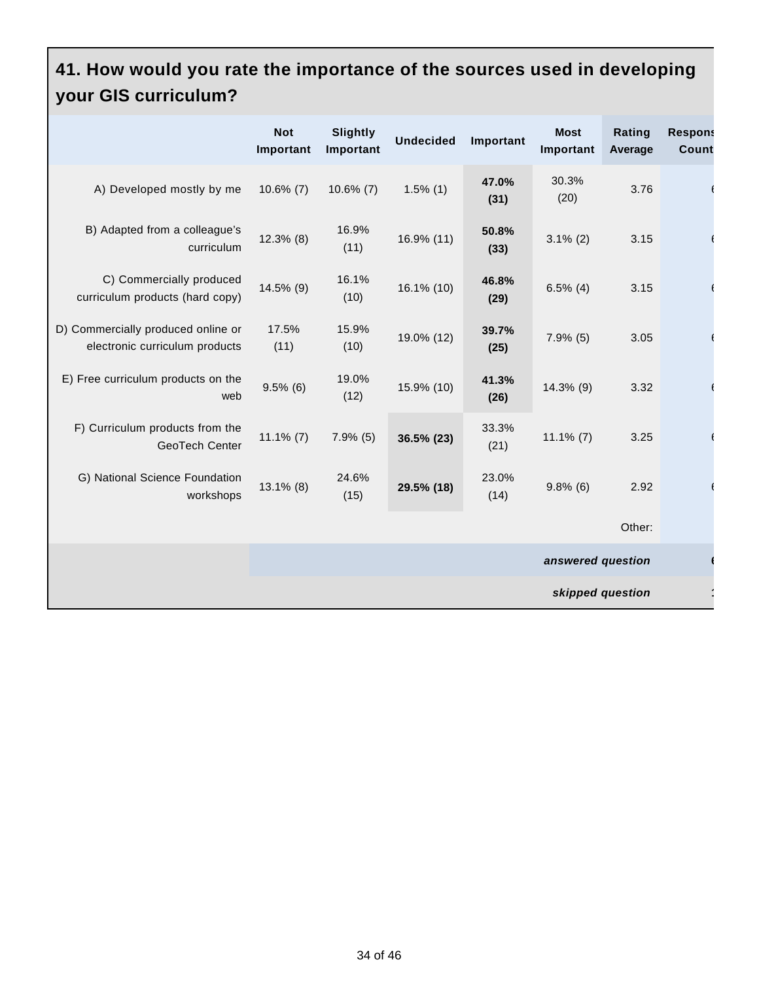#### **41. How would you rate the importance of the sources used in developing your GIS curriculum?**

|                                                                      | <b>Not</b><br>Important | <b>Slightly</b><br>Important | <b>Undecided</b> | Important     | <b>Most</b><br>Important | Rating<br>Average | <b>Respons</b><br><b>Count</b> |
|----------------------------------------------------------------------|-------------------------|------------------------------|------------------|---------------|--------------------------|-------------------|--------------------------------|
| A) Developed mostly by me                                            | $10.6\%$ (7)            | $10.6\%$ (7)                 | $1.5\%$ (1)      | 47.0%<br>(31) | 30.3%<br>(20)            | 3.76              |                                |
| B) Adapted from a colleague's<br>curriculum                          | $12.3\%$ (8)            | 16.9%<br>(11)                | 16.9% (11)       | 50.8%<br>(33) | $3.1\%$ (2)              | 3.15              |                                |
| C) Commercially produced<br>curriculum products (hard copy)          | 14.5% (9)               | 16.1%<br>(10)                | 16.1% (10)       | 46.8%<br>(29) | $6.5\%$ (4)              | 3.15              |                                |
| D) Commercially produced online or<br>electronic curriculum products | 17.5%<br>(11)           | 15.9%<br>(10)                | 19.0% (12)       | 39.7%<br>(25) | $7.9\%$ (5)              | 3.05              |                                |
| E) Free curriculum products on the<br>web                            | $9.5\%$ (6)             | 19.0%<br>(12)                | 15.9% (10)       | 41.3%<br>(26) | 14.3% (9)                | 3.32              |                                |
| F) Curriculum products from the<br>GeoTech Center                    | $11.1\%$ (7)            | $7.9\%$ (5)                  | 36.5% (23)       | 33.3%<br>(21) | $11.1\%$ (7)             | 3.25              |                                |
| G) National Science Foundation<br>workshops                          | 13.1% (8)               | 24.6%<br>(15)                | 29.5% (18)       | 23.0%<br>(14) | $9.8\%$ (6)              | 2.92              |                                |
|                                                                      |                         |                              |                  |               |                          | Other:            |                                |
|                                                                      |                         |                              |                  |               | answered question        |                   |                                |
| skipped question                                                     |                         |                              |                  |               |                          |                   |                                |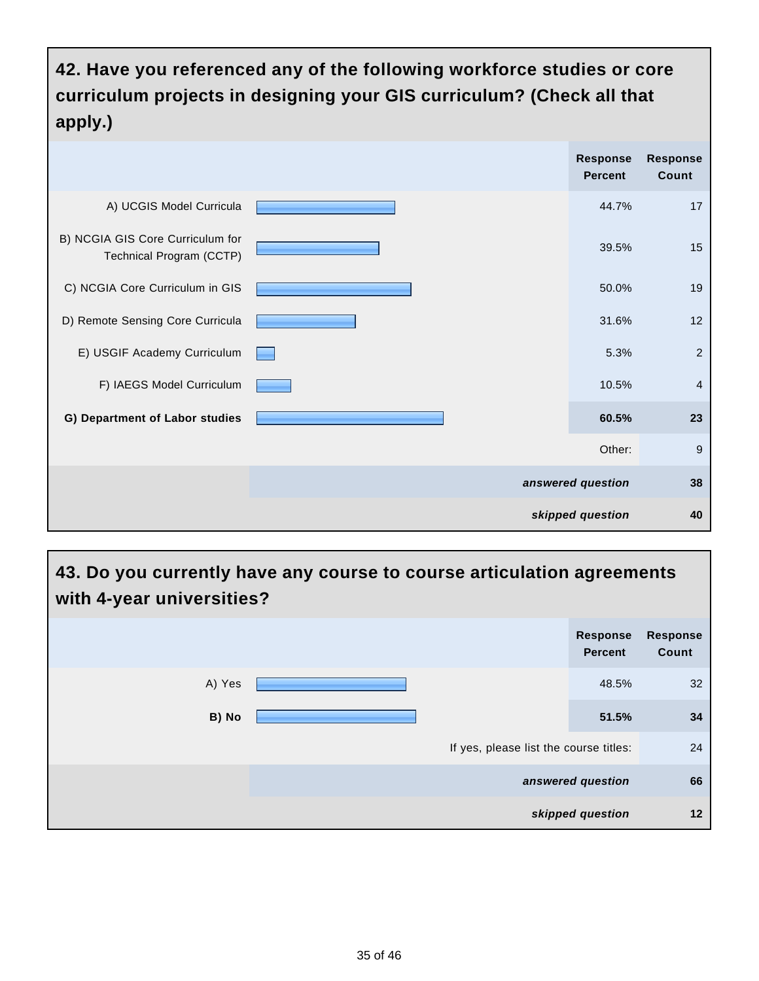**42. Have you referenced any of the following workforce studies or core curriculum projects in designing your GIS curriculum? (Check all that apply.)**

|                                                              | <b>Response</b><br><b>Percent</b> | <b>Response</b><br>Count |
|--------------------------------------------------------------|-----------------------------------|--------------------------|
| A) UCGIS Model Curricula                                     | 44.7%                             | 17                       |
| B) NCGIA GIS Core Curriculum for<br>Technical Program (CCTP) | 39.5%                             | 15                       |
| C) NCGIA Core Curriculum in GIS                              | 50.0%                             | 19                       |
| D) Remote Sensing Core Curricula                             | 31.6%                             | 12                       |
| E) USGIF Academy Curriculum                                  | 5.3%                              | $\overline{2}$           |
| F) IAEGS Model Curriculum                                    | 10.5%                             | $\overline{4}$           |
| G) Department of Labor studies                               | 60.5%                             | 23                       |
|                                                              | Other:                            | 9                        |
|                                                              | answered question                 | 38                       |
|                                                              | skipped question                  | 40                       |

#### **43. Do you currently have any course to course articulation agreements with 4-year universities?**

|        |                   | <b>Response</b><br><b>Percent</b>      | <b>Response</b><br>Count |  |
|--------|-------------------|----------------------------------------|--------------------------|--|
| A) Yes |                   | 48.5%                                  | 32 <sup>2</sup>          |  |
| B) No  |                   | 51.5%                                  | 34                       |  |
|        |                   | If yes, please list the course titles: |                          |  |
|        | answered question |                                        | 66                       |  |
|        |                   | skipped question                       | 12                       |  |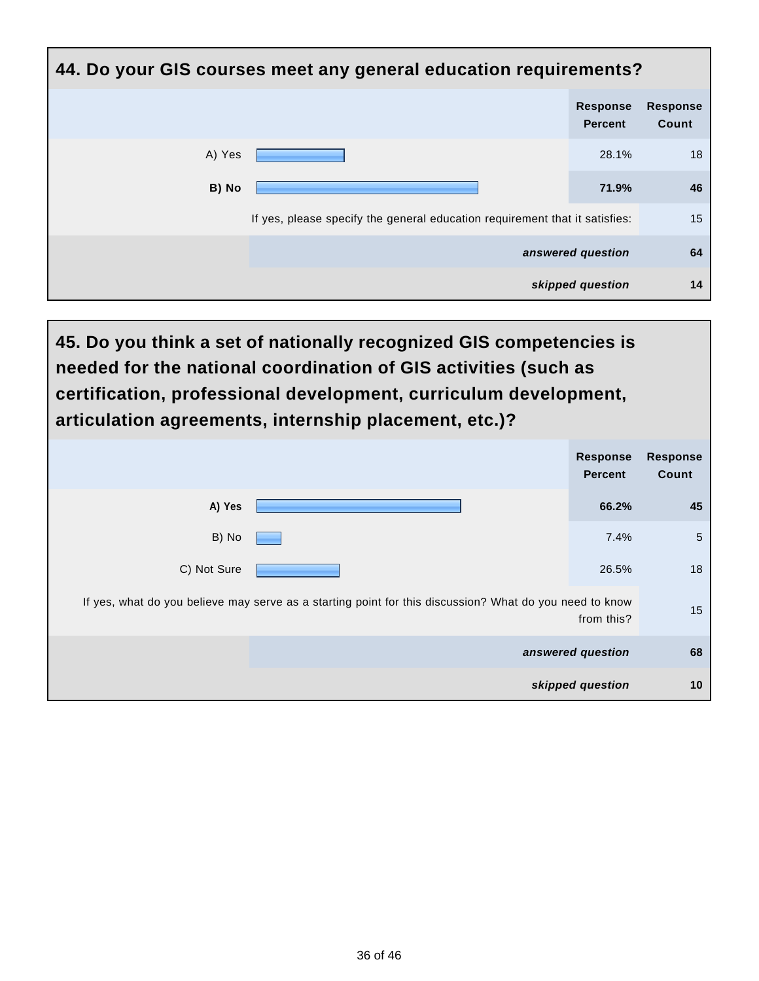| 44. Do your GIS courses meet any general education requirements?            |                                   |                          |  |  |  |
|-----------------------------------------------------------------------------|-----------------------------------|--------------------------|--|--|--|
|                                                                             | <b>Response</b><br><b>Percent</b> | <b>Response</b><br>Count |  |  |  |
| A) Yes                                                                      | 28.1%                             | 18                       |  |  |  |
| B) No                                                                       | 71.9%                             | 46                       |  |  |  |
| If yes, please specify the general education requirement that it satisfies: |                                   | 15                       |  |  |  |
|                                                                             | answered question                 | 64                       |  |  |  |
|                                                                             | skipped question                  | 14                       |  |  |  |

**45. Do you think a set of nationally recognized GIS competencies is needed for the national coordination of GIS activities (such as certification, professional development, curriculum development, articulation agreements, internship placement, etc.)?**

|                                                                                                         | <b>Response</b><br><b>Percent</b> | <b>Response</b><br>Count |
|---------------------------------------------------------------------------------------------------------|-----------------------------------|--------------------------|
| A) Yes                                                                                                  | 66.2%                             | 45                       |
| B) No                                                                                                   | 7.4%                              | $\sqrt{5}$               |
| C) Not Sure                                                                                             | 26.5%                             | 18                       |
| If yes, what do you believe may serve as a starting point for this discussion? What do you need to know | from this?                        | 15                       |
|                                                                                                         | answered question                 | 68                       |
|                                                                                                         | skipped question                  | 10                       |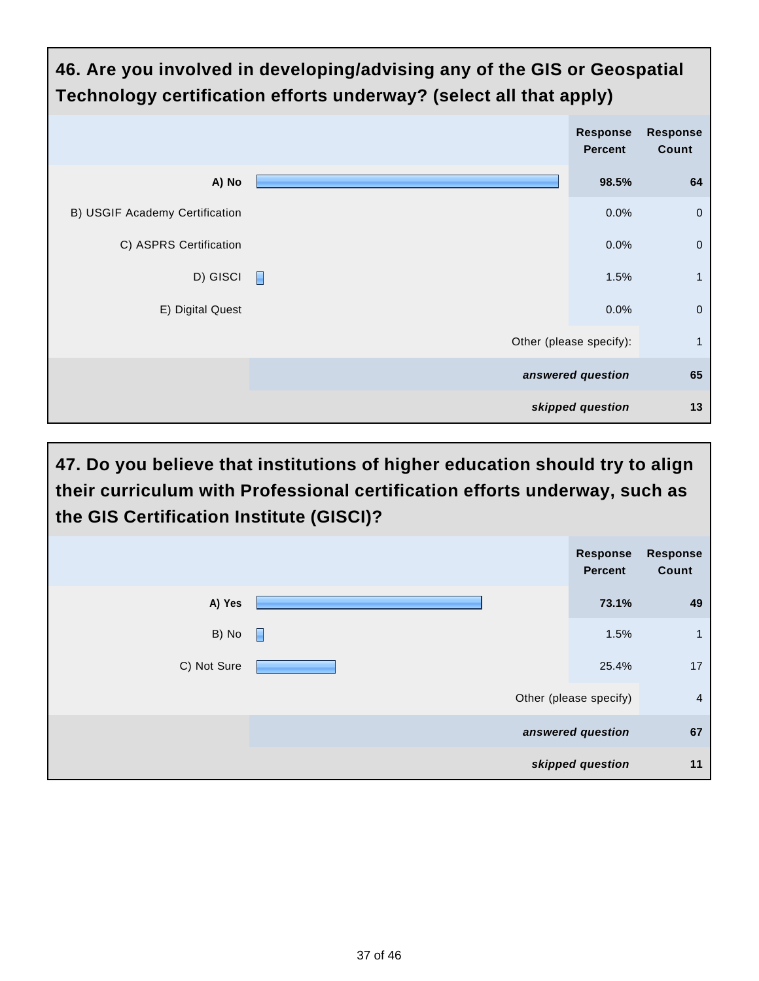

**47. Do you believe that institutions of higher education should try to align their curriculum with Professional certification efforts underway, such as the GIS Certification Institute (GISCI)?**

|             |   | Response<br><b>Percent</b> | <b>Response</b><br>Count |
|-------------|---|----------------------------|--------------------------|
| A) Yes      |   | 73.1%                      | 49                       |
| B) No       | E | 1.5%                       | $\mathbf{1}$             |
| C) Not Sure |   | 25.4%                      | 17                       |
|             |   | Other (please specify)     | $\overline{4}$           |
|             |   | answered question          | 67                       |
|             |   | skipped question           | 11                       |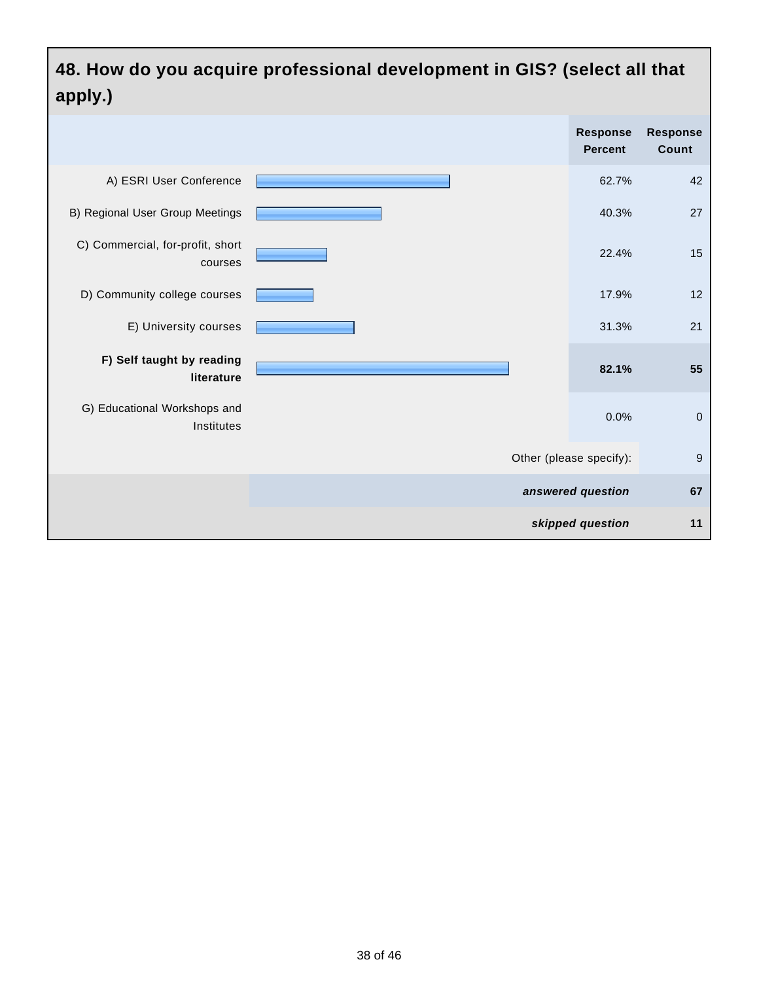# **48. How do you acquire professional development in GIS? (select all that apply.)**

|                                             | Response<br><b>Percent</b> | <b>Response</b><br>Count |
|---------------------------------------------|----------------------------|--------------------------|
| A) ESRI User Conference                     | 62.7%                      | 42                       |
| B) Regional User Group Meetings             | 40.3%                      | 27                       |
| C) Commercial, for-profit, short<br>courses | 22.4%                      | 15                       |
| D) Community college courses                | 17.9%                      | 12                       |
| E) University courses                       | 31.3%                      | 21                       |
| F) Self taught by reading<br>literature     | 82.1%                      | 55                       |
| G) Educational Workshops and<br>Institutes  | 0.0%                       | $\mathbf 0$              |
|                                             | Other (please specify):    | $9$                      |
|                                             | answered question          | 67                       |
|                                             | skipped question           | 11                       |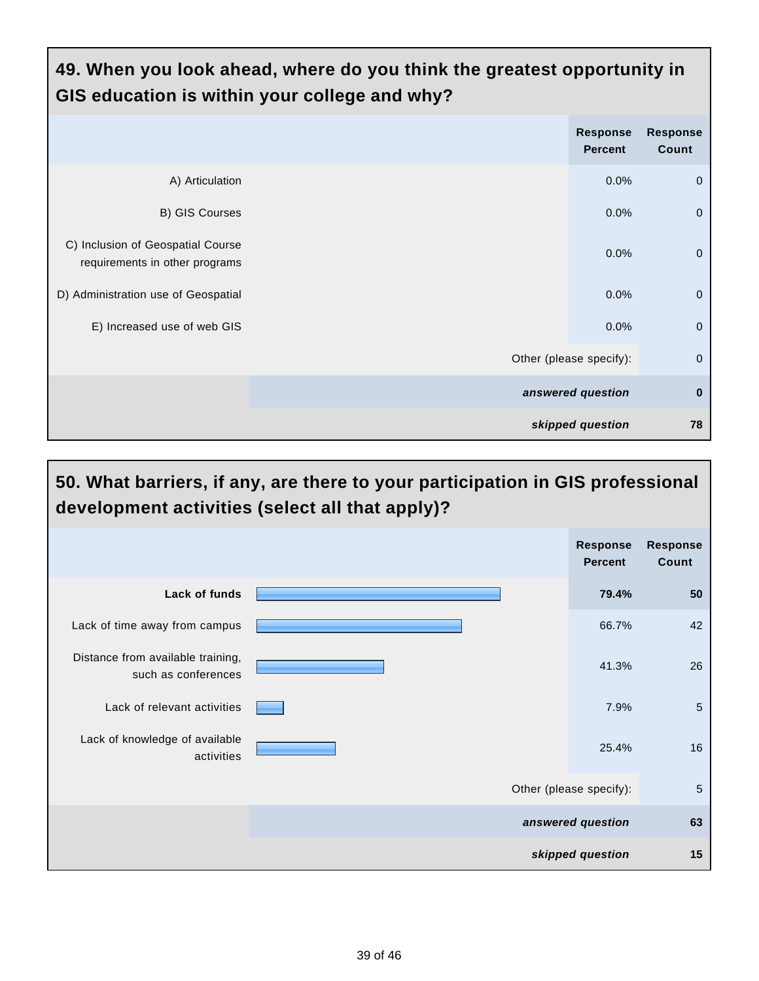| 49. When you look ahead, where do you think the greatest opportunity in<br>GIS education is within your college and why? |                         |                                   |                          |  |
|--------------------------------------------------------------------------------------------------------------------------|-------------------------|-----------------------------------|--------------------------|--|
|                                                                                                                          |                         | <b>Response</b><br><b>Percent</b> | <b>Response</b><br>Count |  |
| A) Articulation                                                                                                          |                         | 0.0%                              | $\mathbf 0$              |  |
| B) GIS Courses                                                                                                           |                         | 0.0%                              | $\mathbf{0}$             |  |
| C) Inclusion of Geospatial Course<br>requirements in other programs                                                      |                         | 0.0%                              | $\mathbf{0}$             |  |
| D) Administration use of Geospatial                                                                                      |                         | 0.0%                              | $\overline{0}$           |  |
| E) Increased use of web GIS                                                                                              |                         | 0.0%                              | $\overline{0}$           |  |
|                                                                                                                          | Other (please specify): |                                   | $\mathbf{0}$             |  |
|                                                                                                                          |                         | answered question                 | $\bf{0}$                 |  |
|                                                                                                                          |                         | skipped question                  | 78                       |  |

#### **50. What barriers, if any, are there to your participation in GIS professional development activities (select all that apply)? Response Percent Response Count Lack of funds 79.4% 50** Lack of time away from campus **66.7%** 42 Distance from available training, such as conferences 41.3% 26 Lack of relevant activities **Figure 1.1** No. 2012 1.9% 5. The set of the set of the set of the set of the set of the set of the set of the set of the set of the set of the set of the set of the set of the set of the set of Lack of knowledge of available activities 25.4% 16 Other (please specify): 5 **answered question 63 skipped question 15**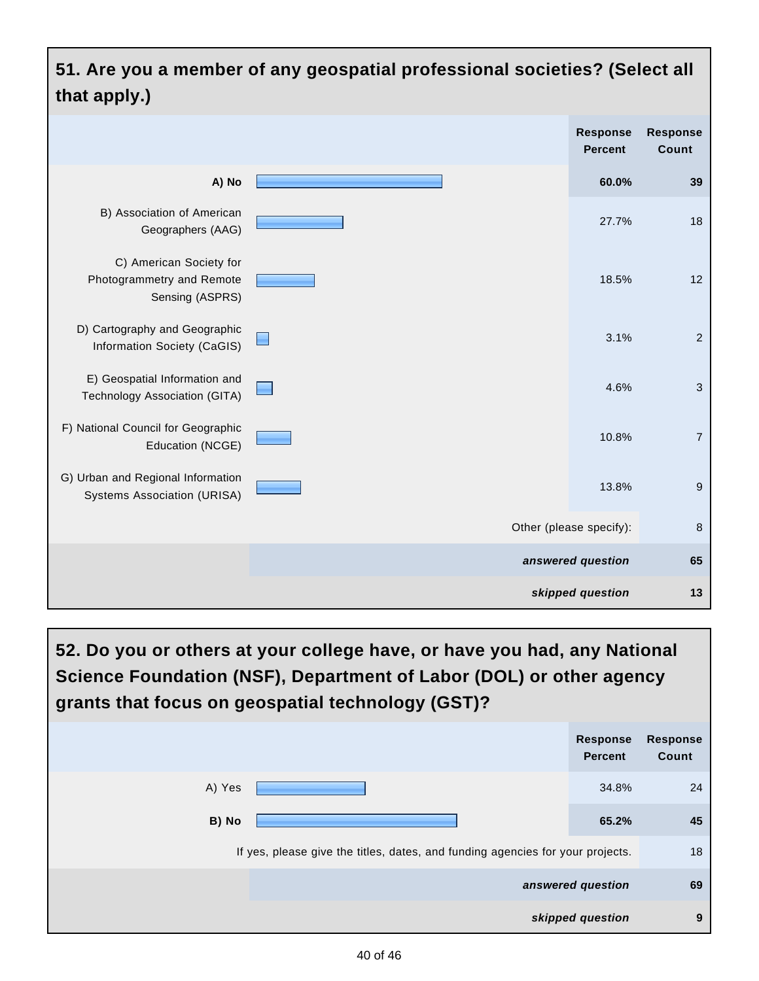#### **51. Are you a member of any geospatial professional societies? (Select all that apply.) Response Response Percent Count A) No 60.0% 39** B) Association of American 27.7% 18 Geographers (AAG) C) American Society for Photogrammetry and Remote 18.5% 12 Sensing (ASPRS) D) Cartography and Geographic 3.1% 2  $\blacksquare$ Information Society (CaGIS) E) Geospatial Information and 4.6% 3 Technology Association (GITA) F) National Council for Geographic 10.8% 7 Education (NCGE) G) Urban and Regional Information 13.8% 9 Systems Association (URISA) Other (please specify): 8 **answered question 65 skipped question 13**

**52. Do you or others at your college have, or have you had, any National Science Foundation (NSF), Department of Labor (DOL) or other agency grants that focus on geospatial technology (GST)?**

|                                                                                | <b>Response</b><br><b>Percent</b> | <b>Response</b><br>Count |
|--------------------------------------------------------------------------------|-----------------------------------|--------------------------|
| A) Yes                                                                         | 34.8%                             | 24                       |
| B) No                                                                          | 65.2%                             | 45                       |
| If yes, please give the titles, dates, and funding agencies for your projects. |                                   | 18                       |
|                                                                                | answered question                 | 69                       |
|                                                                                | skipped question                  | 9                        |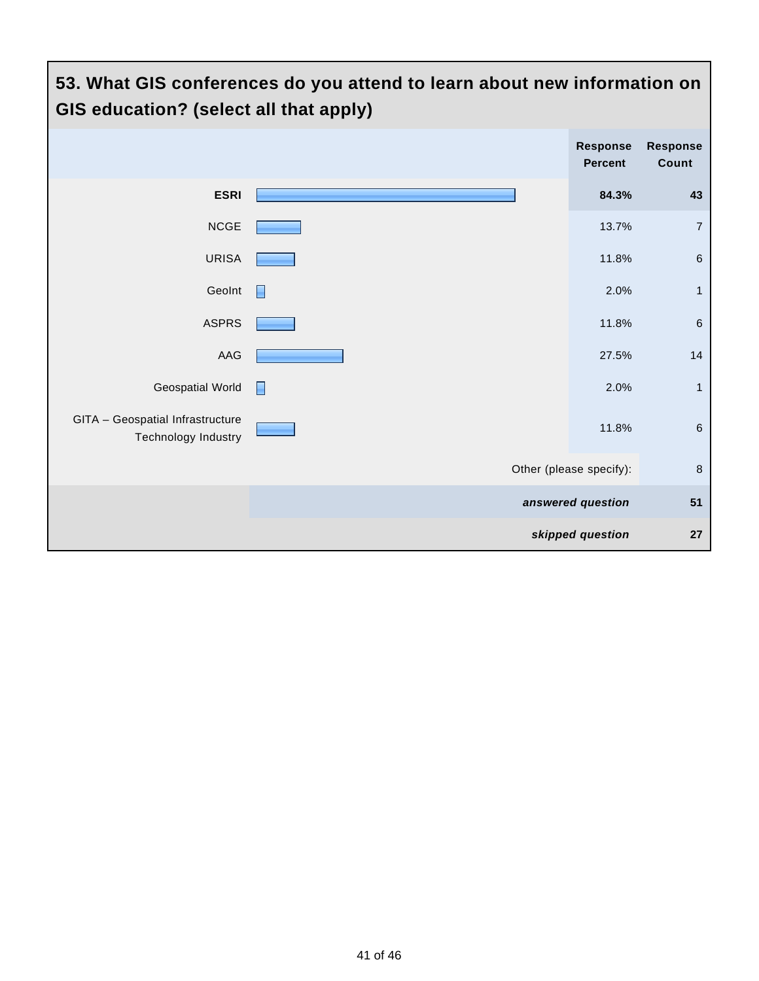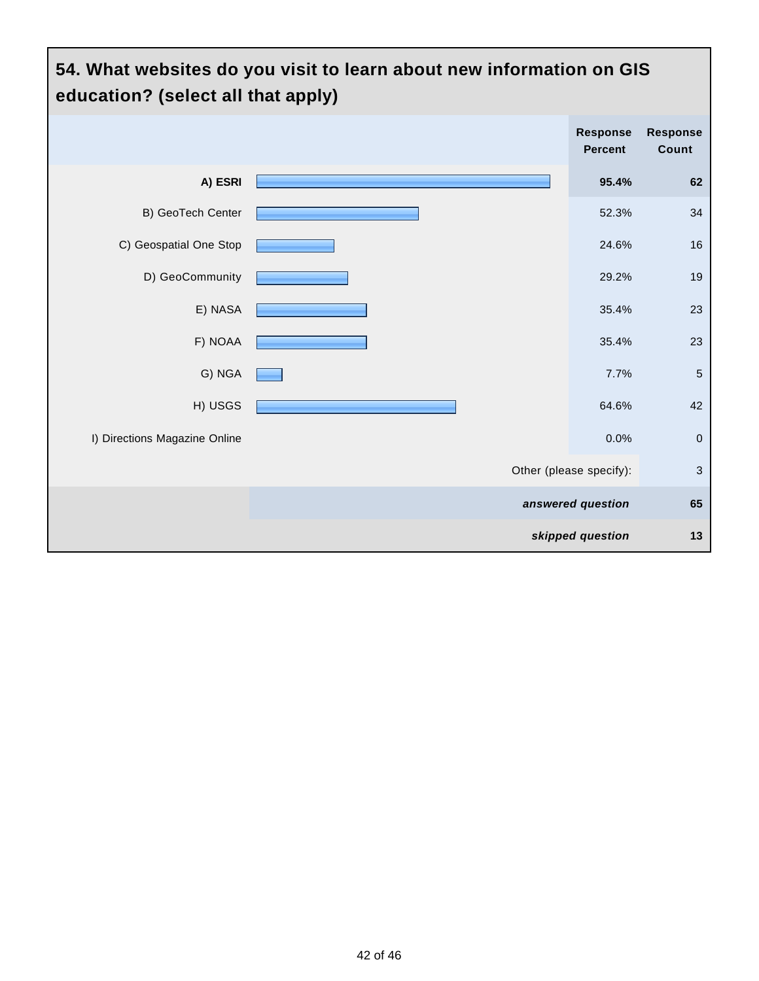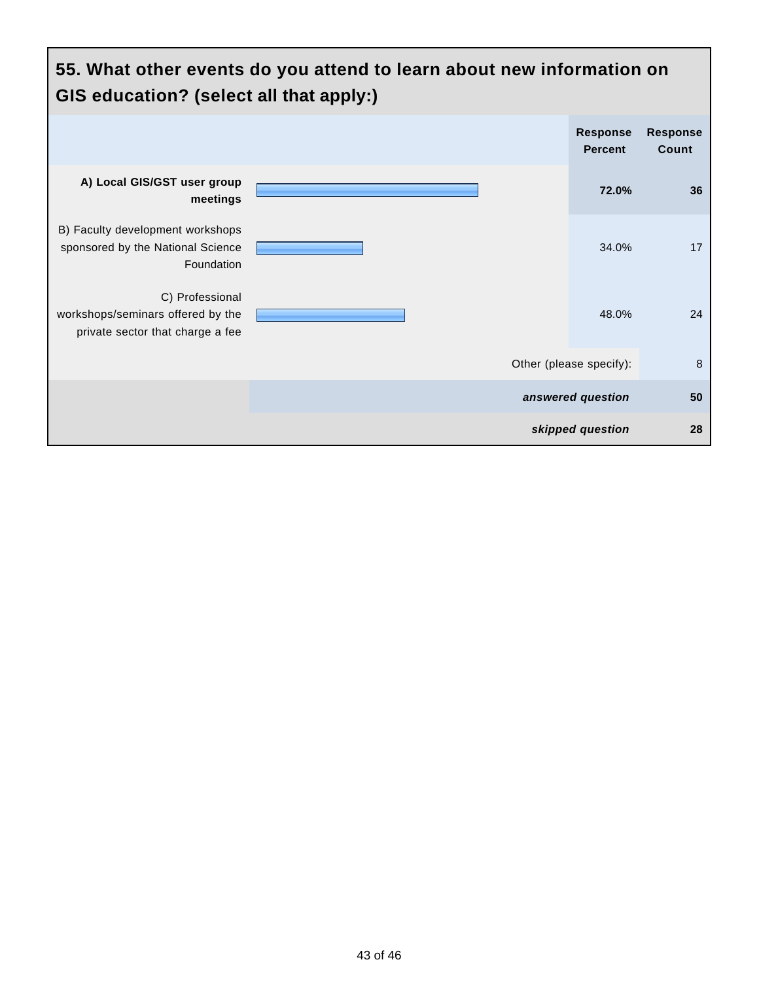| 55. What other events do you attend to learn about new information on<br>GIS education? (select all that apply:) |  |                                   |                          |
|------------------------------------------------------------------------------------------------------------------|--|-----------------------------------|--------------------------|
|                                                                                                                  |  | <b>Response</b><br><b>Percent</b> | <b>Response</b><br>Count |
| A) Local GIS/GST user group<br>meetings                                                                          |  | 72.0%                             | 36                       |
| B) Faculty development workshops<br>sponsored by the National Science<br>Foundation                              |  | 34.0%                             | 17                       |
| C) Professional<br>workshops/seminars offered by the<br>private sector that charge a fee                         |  | 48.0%                             | 24                       |
|                                                                                                                  |  | Other (please specify):           | 8                        |
|                                                                                                                  |  | answered question                 | 50                       |
|                                                                                                                  |  | skipped question                  | 28                       |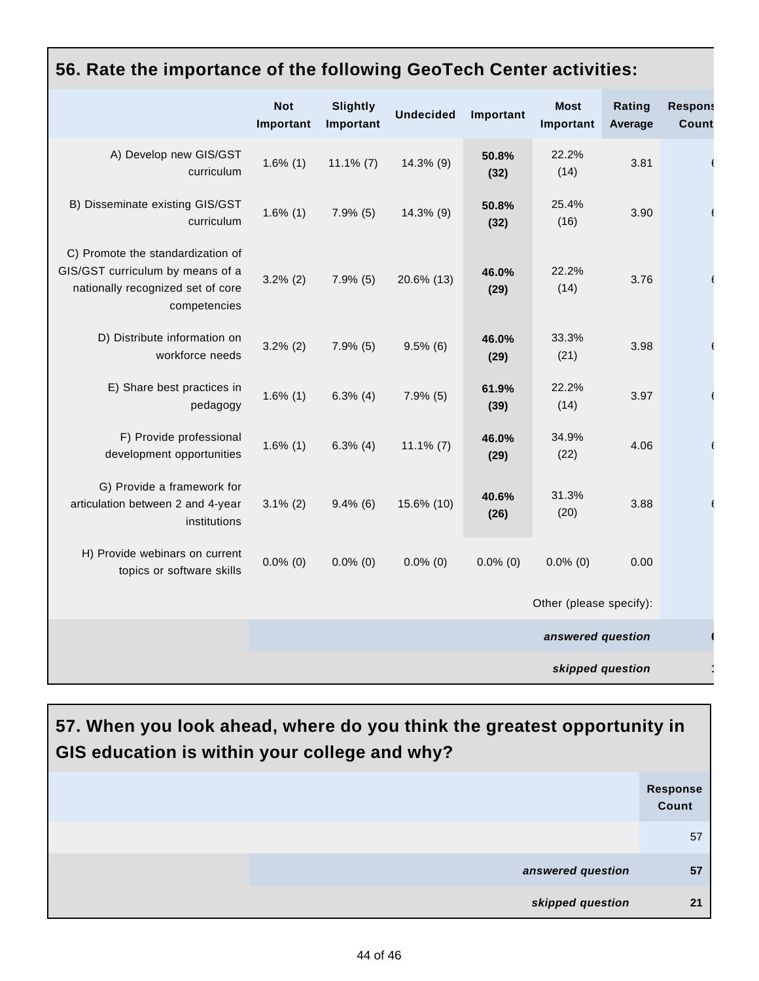|                                                                                                                            | <b>Not</b><br>Important | <b>Slightly</b><br>Important | <b>Undecided</b> | Important     | <b>Most</b><br>Important | Rating<br>Average | <b>Respons</b><br>Count |
|----------------------------------------------------------------------------------------------------------------------------|-------------------------|------------------------------|------------------|---------------|--------------------------|-------------------|-------------------------|
| A) Develop new GIS/GST<br>curriculum                                                                                       | $1.6\%$ (1)             | $11.1\%$ (7)                 | 14.3% (9)        | 50.8%<br>(32) | 22.2%<br>(14)            | 3.81              |                         |
| B) Disseminate existing GIS/GST<br>curriculum                                                                              | $1.6\%$ (1)             | $7.9\%$ (5)                  | 14.3% (9)        | 50.8%<br>(32) | 25.4%<br>(16)            | 3.90              |                         |
| C) Promote the standardization of<br>GIS/GST curriculum by means of a<br>nationally recognized set of core<br>competencies | $3.2\%$ (2)             | $7.9\%$ (5)                  | 20.6% (13)       | 46.0%<br>(29) | 22.2%<br>(14)            | 3.76              |                         |
| D) Distribute information on<br>workforce needs                                                                            | $3.2\%$ (2)             | $7.9\%$ (5)                  | $9.5\%$ (6)      | 46.0%<br>(29) | 33.3%<br>(21)            | 3.98              |                         |
| E) Share best practices in<br>pedagogy                                                                                     | $1.6\%$ (1)             | $6.3\%$ (4)                  | $7.9\%$ (5)      | 61.9%<br>(39) | 22.2%<br>(14)            | 3.97              |                         |
| F) Provide professional<br>development opportunities                                                                       | $1.6\%$ (1)             | $6.3\%$ (4)                  | $11.1\%$ (7)     | 46.0%<br>(29) | 34.9%<br>(22)            | 4.06              |                         |
| G) Provide a framework for<br>articulation between 2 and 4-year<br>institutions                                            | $3.1\%$ (2)             | $9.4\%$ (6)                  | 15.6% (10)       | 40.6%<br>(26) | 31.3%<br>(20)            | 3.88              |                         |
| H) Provide webinars on current<br>topics or software skills                                                                | $0.0\%$ (0)             | $0.0\%$ (0)                  | $0.0\%$ (0)      | $0.0\%$ (0)   | $0.0\%$ (0)              | 0.00              |                         |
|                                                                                                                            |                         |                              |                  |               | Other (please specify):  |                   |                         |
|                                                                                                                            |                         |                              |                  |               | answered question        |                   |                         |
|                                                                                                                            |                         |                              |                  |               | skipped question         |                   |                         |

#### **56. Rate the importance of the following GeoTech Center activities:**

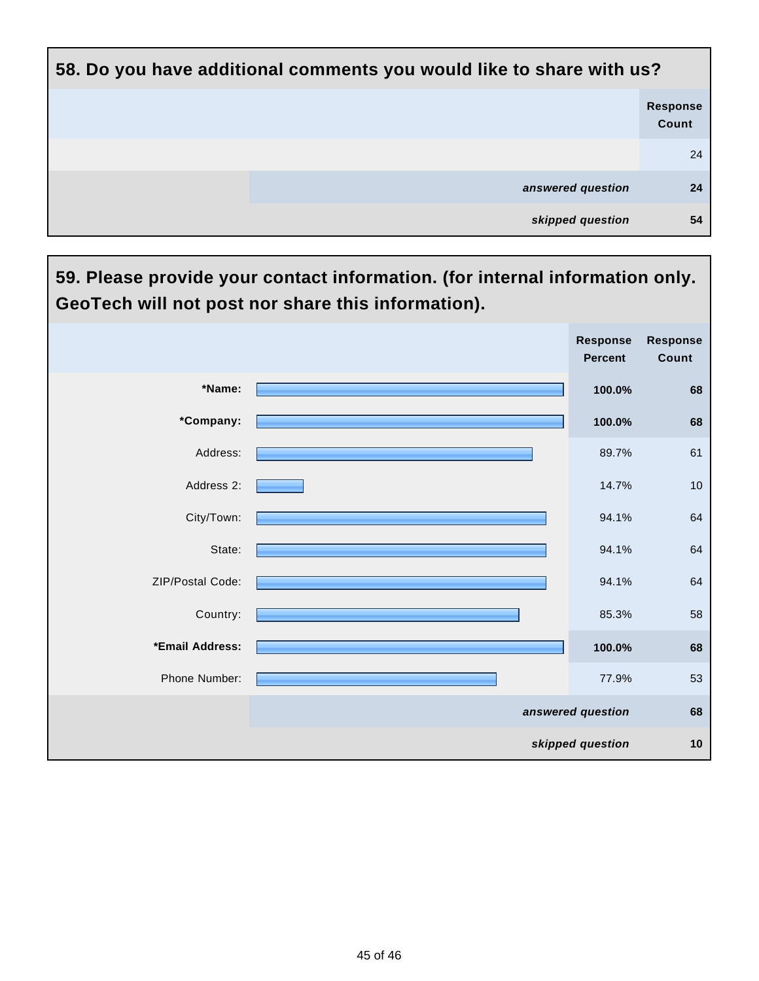